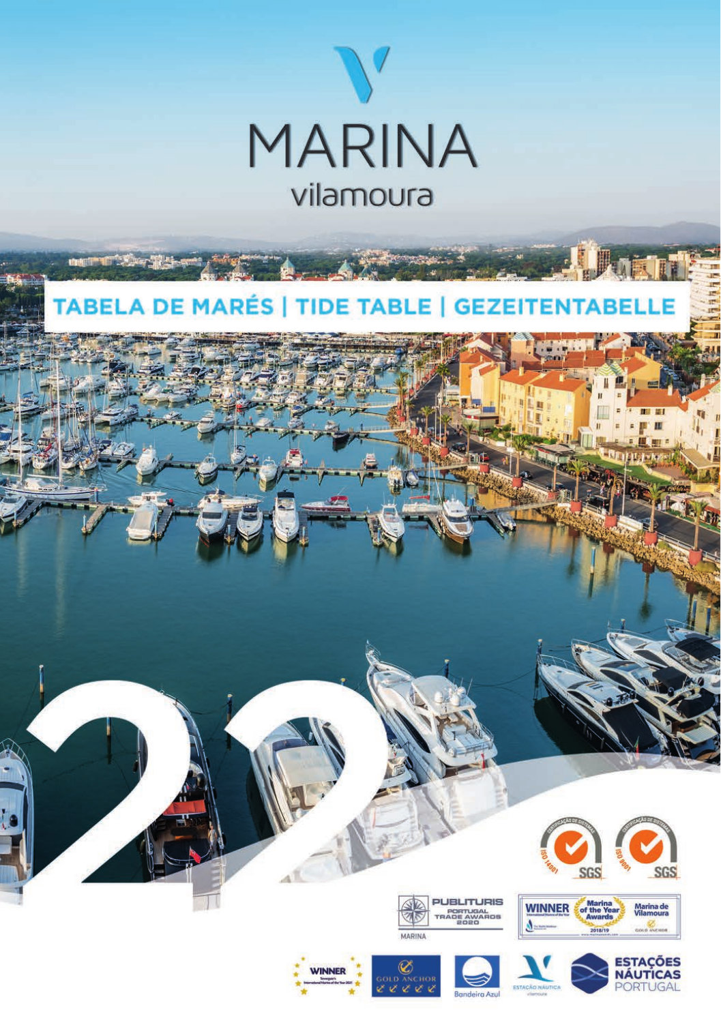

## **TABELA DE MARÉS | TIDE TABLE | GEZEITENTABELLE**











**MARINA** 









UBLITURIS

**PORTUGAL**<br>TRADE AWARDS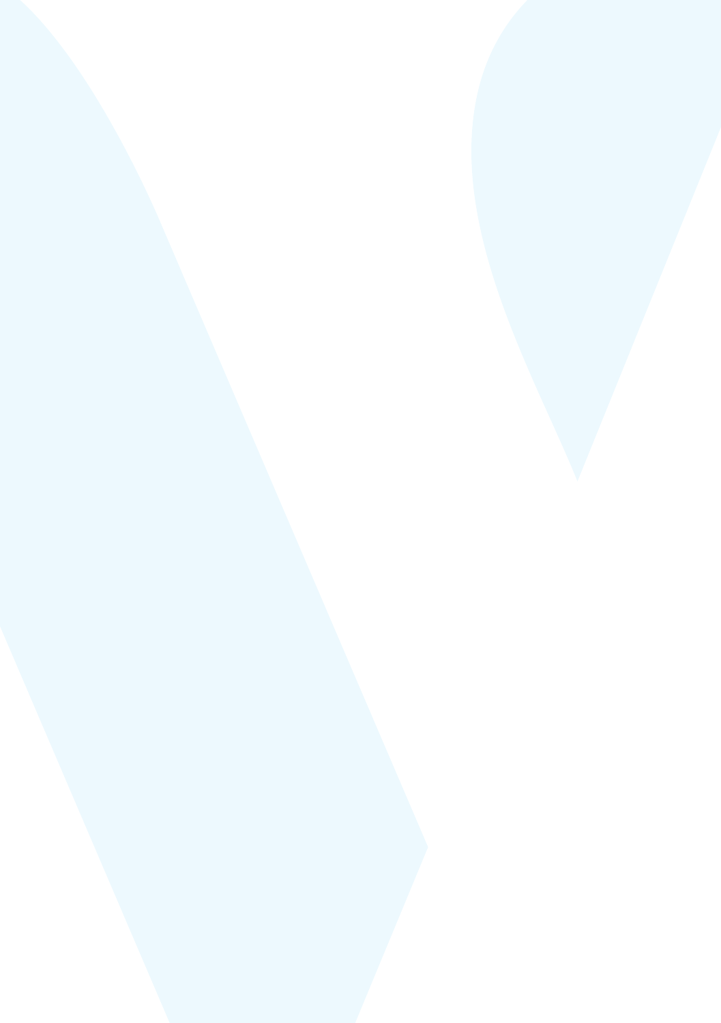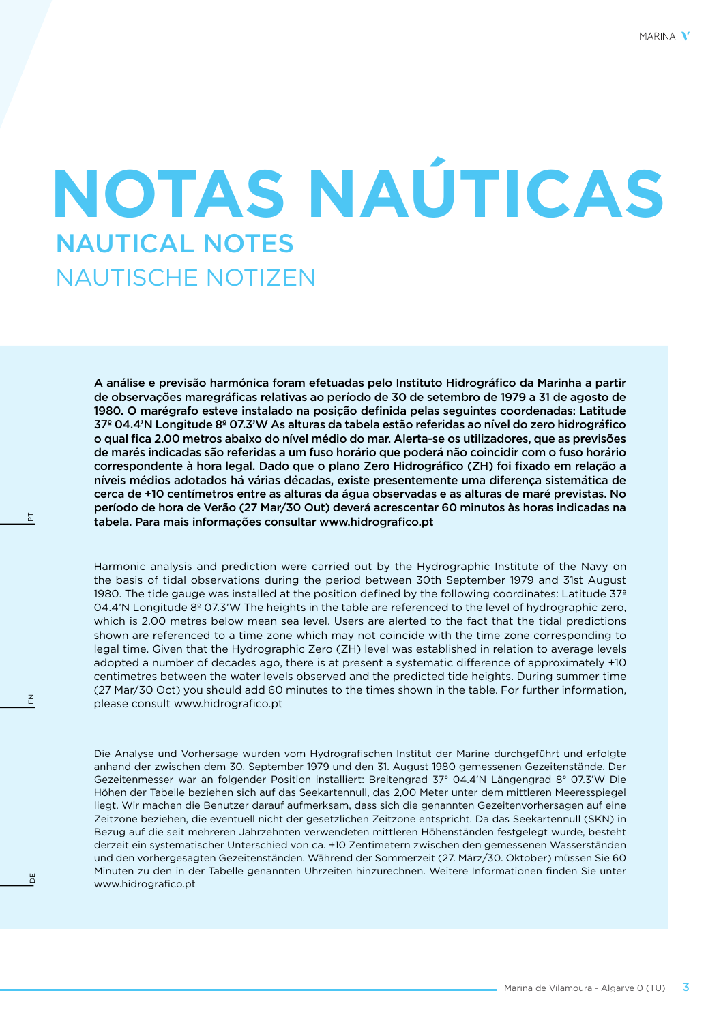## NAUTICAL NOTES **NOTAS NAÚTICAS** NAUTISCHE NOTIZEN

A análise e previsão harmónica foram efetuadas pelo Instituto Hidrográfico da Marinha a partir de observações maregráficas relativas ao período de 30 de setembro de 1979 a 31 de agosto de 1980. O marégrafo esteve instalado na posição definida pelas seguintes coordenadas: Latitude 37º 04.4'N Longitude 8º 07.3'W As alturas da tabela estão referidas ao nível do zero hidrográfico o qual fica 2.00 metros abaixo do nível médio do mar. Alerta-se os utilizadores, que as previsões de marés indicadas são referidas a um fuso horário que poderá não coincidir com o fuso horário correspondente à hora legal. Dado que o plano Zero Hidrográfico (ZH) foi fixado em relação a níveis médios adotados há várias décadas, existe presentemente uma diferença sistemática de cerca de +10 centímetros entre as alturas da água observadas e as alturas de maré previstas. No período de hora de Verão (27 Mar/30 Out) deverá acrescentar 60 minutos às horas indicadas na tabela. Para mais informações consultar www.hidrografico.pt

Harmonic analysis and prediction were carried out by the Hydrographic Institute of the Navy on the basis of tidal observations during the period between 30th September 1979 and 31st August 1980. The tide gauge was installed at the position defined by the following coordinates: Latitude  $37^{\circ}$ 04.4'N Longitude 8º 07.3'W The heights in the table are referenced to the level of hydrographic zero, which is 2.00 metres below mean sea level. Users are alerted to the fact that the tidal predictions shown are referenced to a time zone which may not coincide with the time zone corresponding to legal time. Given that the Hydrographic Zero (ZH) level was established in relation to average levels adopted a number of decades ago, there is at present a systematic difference of approximately +10 centimetres between the water levels observed and the predicted tide heights. During summer time (27 Mar/30 Oct) you should add 60 minutes to the times shown in the table. For further information, please consult www.hidrografico.pt

Die Analyse und Vorhersage wurden vom Hydrografischen Institut der Marine durchgeführt und erfolgte anhand der zwischen dem 30. September 1979 und den 31. August 1980 gemessenen Gezeitenstände. Der Gezeitenmesser war an folgender Position installiert: Breitengrad 37º 04.4'N Längengrad 8º 07.3'W Die Höhen der Tabelle beziehen sich auf das Seekartennull, das 2,00 Meter unter dem mittleren Meeresspiegel liegt. Wir machen die Benutzer darauf aufmerksam, dass sich die genannten Gezeitenvorhersagen auf eine Zeitzone beziehen, die eventuell nicht der gesetzlichen Zeitzone entspricht. Da das Seekartennull (SKN) in Bezug auf die seit mehreren Jahrzehnten verwendeten mittleren Höhenständen festgelegt wurde, besteht derzeit ein systematischer Unterschied von ca. +10 Zentimetern zwischen den gemessenen Wasserständen und den vorhergesagten Gezeitenständen. Während der Sommerzeit (27. März/30. Oktober) müssen Sie 60 Minuten zu den in der Tabelle genannten Uhrzeiten hinzurechnen. Weitere Informationen finden Sie unter www.hidrografico.pt

8<br>D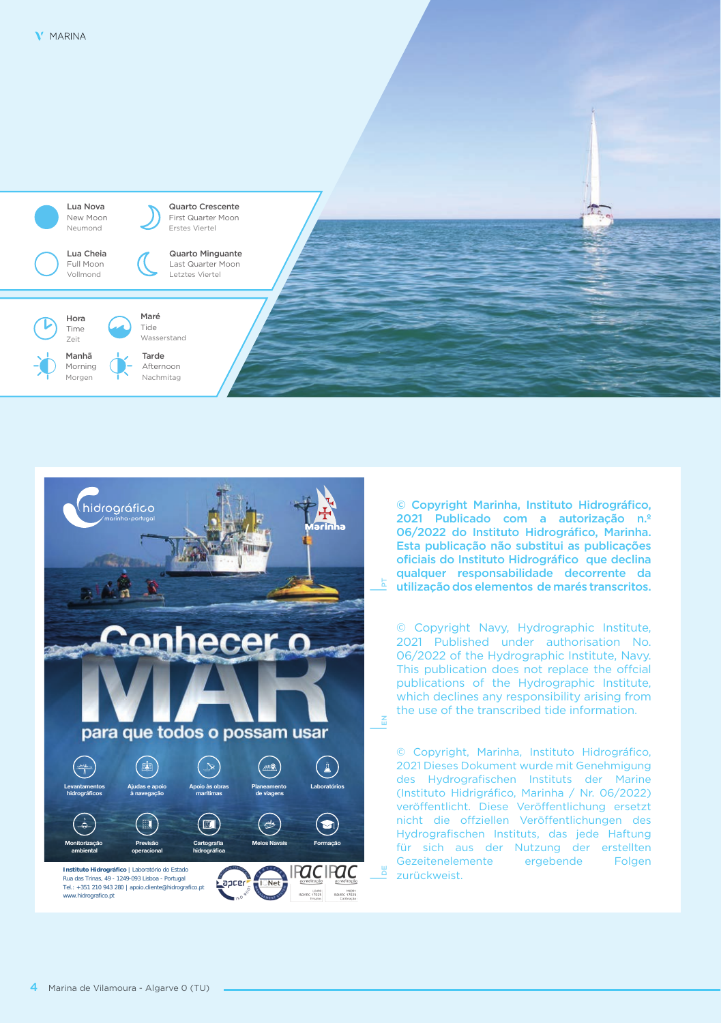



© Copyright Marinha, Instituto Hidrográfico, 2021 Publicado com a autorização n.º 06/2022 do Instituto Hidrográfico, Marinha. Esta publicação não substitui as publicações oficiais do Instituto Hidrográfico que declina qualquer responsabilidade decorrente da utilização dos elementos de marés transcritos.

© Copyright Navy, Hydrographic Institute, 2021 Published under authorisation No. 06/2022 of the Hydrographic Institute, Navy. This publication does not replace the offcial publications of the Hydrographic Institute, .<br>which declines any responsibility arising from the use of the transcribed tide information.

© Copyright, Marinha, Instituto Hidrográfico, 2021 Dieses Dokument wurde mit Genehmigung des Hydrografischen Instituts der Marine (Instituto Hidrigráfico, Marinha / Nr. 06/2022) veröffentlicht. Diese Veröffentlichung ersetzt nicht die offziellen Veröffentlichungen des Hydrografischen Instituts, das jede Haftung für sich aus der Nutzung der erstellten Gezeitenelemente ergebende Folgen zurückweist.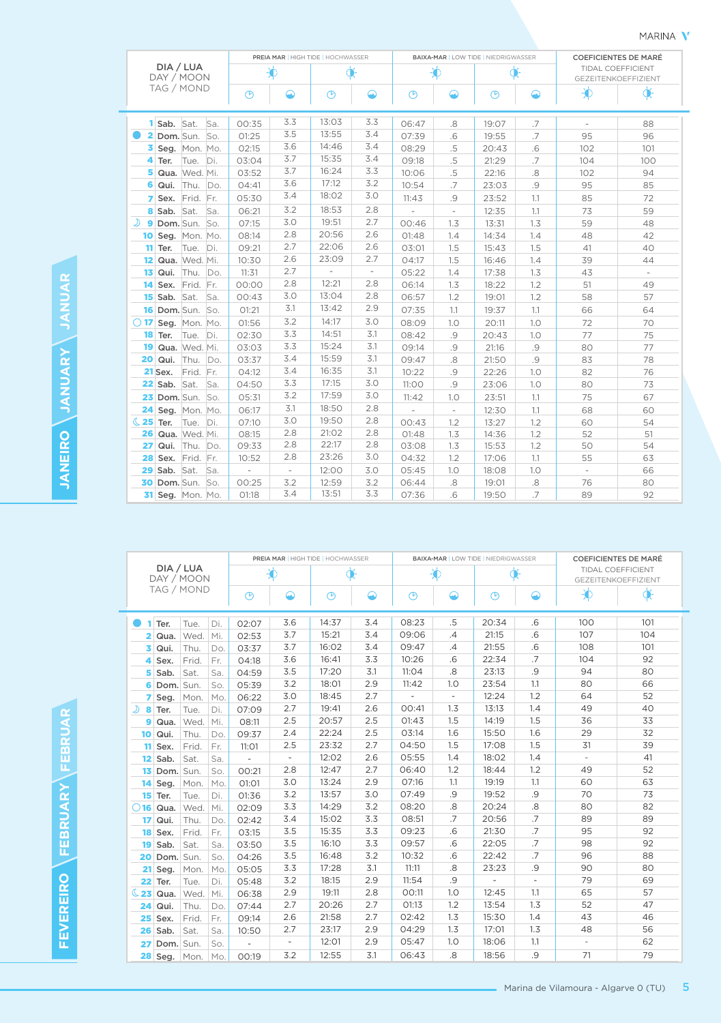| <b>MARINA</b> |
|---------------|
|---------------|

|                                  |       |                          | <b>PREIA MAR   HIGH TIDE   HOCHWASSER</b> |                          |                |                | <b>BAIXA-MAR   LOW TIDE   NIEDRIGWASSER</b> |     |                          | <b>COEFICIENTES DE MARÉ</b>                     |
|----------------------------------|-------|--------------------------|-------------------------------------------|--------------------------|----------------|----------------|---------------------------------------------|-----|--------------------------|-------------------------------------------------|
| DIA / LUA<br>DAY / MOON          |       | Ť                        | Œ                                         |                          |                | Þ              |                                             |     |                          | TIDAL COEFFICIENT<br><b>GEZEITENKOEFFIZIENT</b> |
| TAG / MOND                       | ৣ     | ♤                        | $\circledcirc$                            | ♤                        | $\circledcirc$ | ♤              | ℗                                           | ♤   | ◆                        | ⋭                                               |
| 1 Sab. Sat.<br>Sa.               | 00:35 | 3.3                      | 13:03                                     | 3.3                      | 06:47          | .8             | 19:07                                       | .7  | ÷                        | 88                                              |
| 2 Dom. Sun. So.                  | 01:25 | 3.5                      | 13:55                                     | 3.4                      | 07:39          | .6             | 19:55                                       | .7  | 95                       | 96                                              |
| 3 Seg. Mon. Mo.                  | 02:15 | 3.6                      | 14:46                                     | 3.4                      | 08:29          | .5             | 20:43                                       | .6  | 102                      | 101                                             |
| $4$ Ter.<br>Tue. Di.             | 03:04 | 3.7                      | 15:35                                     | 3.4                      | 09:18          | .5             | 21:29                                       | .7  | 104                      | 100                                             |
| 5 Qua. Wed. Mi.                  | 03:52 | 3.7                      | 16:24                                     | 3.3                      | 10:06          | .5             | 22:16                                       | 8.  | 102                      | 94                                              |
| $6$ Qui.<br>Thu. Do.             | 04:41 | 3.6                      | 17:12                                     | 3.2                      | 10:54          | .7             | 23:03                                       | .9  | 95                       | 85                                              |
| 7 Sex. Frid. Fr.                 | 05:30 | 3.4                      | 18:02                                     | 3.0                      | 11:43          | .9             | 23:52                                       | 1.1 | 85                       | 72                                              |
| 8 Sab. Sat.<br>Sa.               | 06:21 | 3.2                      | 18:53                                     | 2.8                      | ٠              | ä,             | 12:35                                       | 1.1 | 73                       | 59                                              |
| Dom. Sun. So.<br>᠉<br>9          | 07:15 | 3.0                      | 19:51                                     | 2.7                      | 00:46          | 1.3            | 13:31                                       | 1.3 | 59                       | 48                                              |
| 10 Seg. Mon. Mo.                 | 08:14 | 2.8                      | 20:56                                     | 2.6                      | O1:48          | 1.4            | 14:34                                       | 1.4 | 48                       | 42                                              |
| <b>11</b> Ter.<br>Tue. Di.       | 09:21 | 2.7                      | 22:06                                     | 2.6                      | 03:01          | 1.5            | 15:43                                       | 1.5 | 41                       | 40                                              |
| Qua. Wed. Mi.<br>12 <sup>1</sup> | 10:30 | 2.6                      | 23:09                                     | 2.7                      | 04:17          | 1.5            | 16:46                                       | 1.4 | 39                       | 44                                              |
| Qui.<br>Thu. Do.<br>13           | 11:31 | 2.7                      | ×,                                        | $\overline{\phantom{a}}$ | 05:22          | 1.4            | 17:38                                       | 1.3 | 43                       | $\overline{a}$                                  |
| Sex. Frid. Fr.<br>14             | 00:00 | 2.8                      | 12:21                                     | 2.8                      | 06:14          | 1.3            | 18:22                                       | 1.2 | 51                       | 49                                              |
| <b>15 Sab.</b> Sat.<br>Sa.       | 00:43 | 3.0                      | 13:04                                     | 2.8                      | 06:57          | 1.2            | 19:01                                       | 1.2 | 58                       | 57                                              |
| 16 Dom. Sun. So.                 | 01:21 | 3.1                      | 13:42                                     | 2.9                      | 07:35          | 1.1            | 19:37                                       | 1.1 | 66                       | 64                                              |
| $\bigcirc$ 17<br>Seg. Mon. Mo.   | 01:56 | 3.2                      | 14:17                                     | 3.0                      | 08:09          | 1.0            | 20:11                                       | 1.0 | 72                       | 70                                              |
| <b>18</b> Ter.<br>Tue. Di.       | 02:30 | 3.3                      | 14:51                                     | 3.1                      | 08:42          | .9             | 20:43                                       | 1.0 | 77                       | 75                                              |
| 19<br>Qua. Wed. Mi.              | 03:03 | 3.3                      | 15:24                                     | 3.1                      | 09:14          | .9             | 21:16                                       | .9  | 80                       | 77                                              |
| <b>20 Qui.</b><br>Thu. Do.       | 03:37 | 3.4                      | 15:59                                     | 3.1                      | 09:47          | 8.             | 21:50                                       | .9  | 83                       | 78                                              |
| Frid. Fr.<br><b>21</b> Sex.      | 04:12 | 3.4                      | 16:35                                     | 3.1                      | 10:22          | .9             | 22:26                                       | 1.0 | 82                       | 76                                              |
| <b>22 Sab.</b> Sat.<br>Sa.       | 04:50 | 3.3                      | 17:15                                     | 3.0                      | 11:00          | .9             | 23:06                                       | 1.0 | 80                       | 73                                              |
| Dom. Sun. So.<br>23              | 05:31 | 3.2                      | 17:59                                     | 3.0                      | 11:42          | 1.0            | 23:51                                       | 1.1 | 75                       | 67                                              |
| 24<br>Seg. Mon. Mo.              | 06:17 | 3.1                      | 18:50                                     | 2.8                      | L.             | $\overline{a}$ | 12:30                                       | 1.1 | 68                       | 60                                              |
| $\mathbb{C}$ 25 Ter.<br>Tue. Di. | 07:10 | 3.0                      | 19:50                                     | 2.8                      | 00:43          | 1.2            | 13:27                                       | 1.2 | 60                       | 54                                              |
| Qua. Wed. Mi.<br>26              | 08:15 | 2.8                      | 21:02                                     | 2.8                      | O1:48          | 1.3            | 14:36                                       | 1.2 | 52                       | 51                                              |
| Qui.<br>Thu. Do.<br>27           | 09:33 | 2.8                      | 22:17                                     | 2.8                      | 03:08          | 1.3            | 15:53                                       | 1.2 | 50                       | 54                                              |
| 28<br>Sex. Frid. Fr.             | 10:52 | 2.8                      | 23:26                                     | 3.0                      | 04:32          | 1.2            | 17:06                                       | 1.1 | 55                       | 63                                              |
| Sab. Sat.<br>29<br>Sa.           | ä,    | $\overline{\phantom{a}}$ | 12:00                                     | 3.0                      | 05:45          | 1.0            | 18:08                                       | 1.0 | $\overline{\phantom{a}}$ | 66                                              |
| Dom. Sun. So.<br>30              | 00:25 | 3.2                      | 12:59                                     | 3.2                      | 06:44          | .8             | 19:01                                       | 8.  | 76                       | 80                                              |
| Seg. Mon. Mo.<br>31              | O1:18 | 3.4                      | 13:51                                     | 3.3                      | 07:36          | .6             | 19:50                                       | .7  | 89                       | 92                                              |

|                   |                |            |     |                          |                          | <b>PREIA MAR   HIGH TIDE   HOCHWASSER</b> |     |         |                          | <b>BAIXA-MAR   LOW TIDE   NIEDRIGWASSER</b> |          | <b>COEFICIENTES DE MARÉ</b>                            |     |  |
|-------------------|----------------|------------|-----|--------------------------|--------------------------|-------------------------------------------|-----|---------|--------------------------|---------------------------------------------|----------|--------------------------------------------------------|-----|--|
|                   | DIA / LUA      | DAY / MOON |     |                          | 泍                        | Œ                                         |     |         | 沙                        | Þ                                           |          | <b>TIDAL COEFFICIENT</b><br><b>GEZEITENKOEFFIZIENT</b> |     |  |
|                   |                | TAG / MOND |     | $\circledcirc$           | ♤                        | শ্চ                                       | ♤   | $\odot$ | ♤                        | ৻ঀ                                          | $\varpi$ | ◆                                                      | ∲   |  |
|                   | 1 Ter.         | Tue.       | Di. | 02:07                    | 3.6                      | 14:37                                     | 3.4 | 08:23   | .5                       | 20:34                                       | .6       | 100                                                    | 101 |  |
|                   | $2$ Qua.       | Wed.       | Mi. | 02:53                    | 3.7                      | 15:21                                     | 3.4 | 09:06   | .4                       | 21:15                                       | .6       | 107                                                    | 104 |  |
| 3                 | Qui.           | Thu.       | Do. | 03:37                    | 3.7                      | 16:02                                     | 3.4 | 09:47   | $\cdot$                  | 21:55                                       | .6       | 108                                                    | 101 |  |
| 4                 | Sex.           | Frid.      | Fr. | 04:18                    | 3.6                      | 16:41                                     | 3.3 | 10:26   | .6                       | 22:34                                       | .7       | 104                                                    | 92  |  |
| 5                 | Sab.           | Sat.       | Sa. | 04:59                    | 3.5                      | 17:20                                     | 3.1 | 11:04   | .8                       | 23:13                                       | .9       | 94                                                     | 80  |  |
|                   | 6 Dom. Sun.    |            | So. | 05:39                    | 3.2                      | 18:01                                     | 2.9 | 11:42   | 1.0                      | 23:54                                       | 1.1      | 80                                                     | 66  |  |
| 7                 | Seg.           | Mon.       | Mo. | 06:22                    | 3.0                      | 18:45                                     | 2.7 | ٠       | $\overline{\phantom{a}}$ | 12:24                                       | 1.2      | 64                                                     | 52  |  |
| ᠉<br>8            | Ter.           | Tue.       | Di. | 07:09                    | 2.7                      | 19:41                                     | 2.6 | OO:41   | 1.3                      | 13:13                                       | 1.4      | 49                                                     | 40  |  |
| 9                 | Qua.           | Wed.       | Mi. | 08:11                    | 2.5                      | 20:57                                     | 2.5 | O1:43   | 1.5                      | 14:19                                       | 1.5      | 36                                                     | 33  |  |
| 10 <sup>°</sup>   | Qui.           | Thu.       | Do. | 09:37                    | 2.4                      | 22:24                                     | 2.5 | 03:14   | 1.6                      | 15:50                                       | 1.6      | 29                                                     | 32  |  |
| 11                | Sex.           | Frid.      | Fr. | 11:01                    | 2.5                      | 23:32                                     | 2.7 | 04:50   | 1.5                      | 17:08                                       | 1.5      | 31                                                     | 39  |  |
| $12 \overline{ }$ | Sab.           | Sat.       | Sa. | $\overline{\phantom{m}}$ | $\overline{\phantom{a}}$ | 12:02                                     | 2.6 | 05:55   | 1.4                      | 18:02                                       | 1.4      | $\overline{\phantom{a}}$                               | 41  |  |
| 13                | Dom. Sun.      |            | So. | 00:21                    | 2.8                      | 12:47                                     | 2.7 | 06:40   | 1.2                      | 18:44                                       | 1.2      | 49                                                     | 52  |  |
| 14                | Seg.           | Mon.       | Mo. | 01:01                    | 3.0                      | 13:24                                     | 2.9 | 07:16   | 1.1                      | 19:19                                       | 1.1      | 60                                                     | 63  |  |
|                   | <b>15</b> Ter. | Tue.       | Di. | 01:36                    | 3.2                      | 13:57                                     | 3.0 | 07:49   | .9                       | 19:52                                       | .9       | 70                                                     | 73  |  |
| $\circ$ 16        | Qua.           | Wed.       | Mi. | 02:09                    | 3.3                      | 14:29                                     | 3.2 | 08:20   | 8.                       | 20:24                                       | .8       | 80                                                     | 82  |  |
| 17 <sup>17</sup>  | Qui.           | Thu.       | Do. | 02:42                    | 3.4                      | 15:02                                     | 3.3 | 08:51   | .7                       | 20:56                                       | .7       | 89                                                     | 89  |  |
| 18                | Sex.           | Frid.      | Fr. | 03:15                    | 3.5                      | 15:35                                     | 3.3 | 09:23   | .6                       | 21:30                                       | .7       | 95                                                     | 92  |  |
| 19                | Sab.           | Sat.       | Sa. | 03:50                    | 3.5                      | 16:10                                     | 3.3 | 09:57   | .6                       | 22:05                                       | .7       | 98                                                     | 92  |  |
| 20                | Dom. Sun.      |            | So. | 04:26                    | 3.5                      | 16:48                                     | 3.2 | 10:32   | .6                       | 22:42                                       | .7       | 96                                                     | 88  |  |
| 21                | Seg.           | Mon.       | Mo. | 05:05                    | 3.3                      | 17:28                                     | 3.1 | 11:11   | .8                       | 23:23                                       | .9       | 90                                                     | 80  |  |
| 22                | Ter.           | Tue.       | Di. | 05:48                    | 3.2                      | 18:15                                     | 2.9 | 11:54   | .9                       | i.                                          | ٠        | 79                                                     | 69  |  |
| $\mathbb{C}$ 23   | Qua.           | Wed.       | Mi. | 06:38                    | 2.9                      | 19:11                                     | 2.8 | 00:11   | 1.0                      | 12:45                                       | 1.1      | 65                                                     | 57  |  |
| 24                | Qui.           | Thu.       | Do. | 07:44                    | 2.7                      | 20:26                                     | 2.7 | 01:13   | 1.2                      | 13:54                                       | 1.3      | 52                                                     | 47  |  |
| 25                | Sex.           | Frid.      | Fr. | 09:14                    | 2.6                      | 21:58                                     | 2.7 | 02:42   | 1.3                      | 15:30                                       | 1.4      | 43                                                     | 46  |  |
| 26                | Sab.           | Sat.       | Sa. | 10:50                    | 2.7                      | 23:17                                     | 2.9 | 04:29   | 1.3                      | 17:01                                       | 1.3      | 48                                                     | 56  |  |
| 27                | Dom. Sun.      |            | So. |                          | $\overline{\phantom{a}}$ | 12:01                                     | 2.9 | 05:47   | 1.0                      | 18:06                                       | 1.1      | $\overline{\phantom{a}}$                               | 62  |  |
|                   | <b>28</b> Seg. | Mon.       | Mo. | 00:19                    | 3.2                      | 12:55                                     | 3.1 | 06:43   | 8.                       | 18:56                                       | .9       | 71                                                     | 79  |  |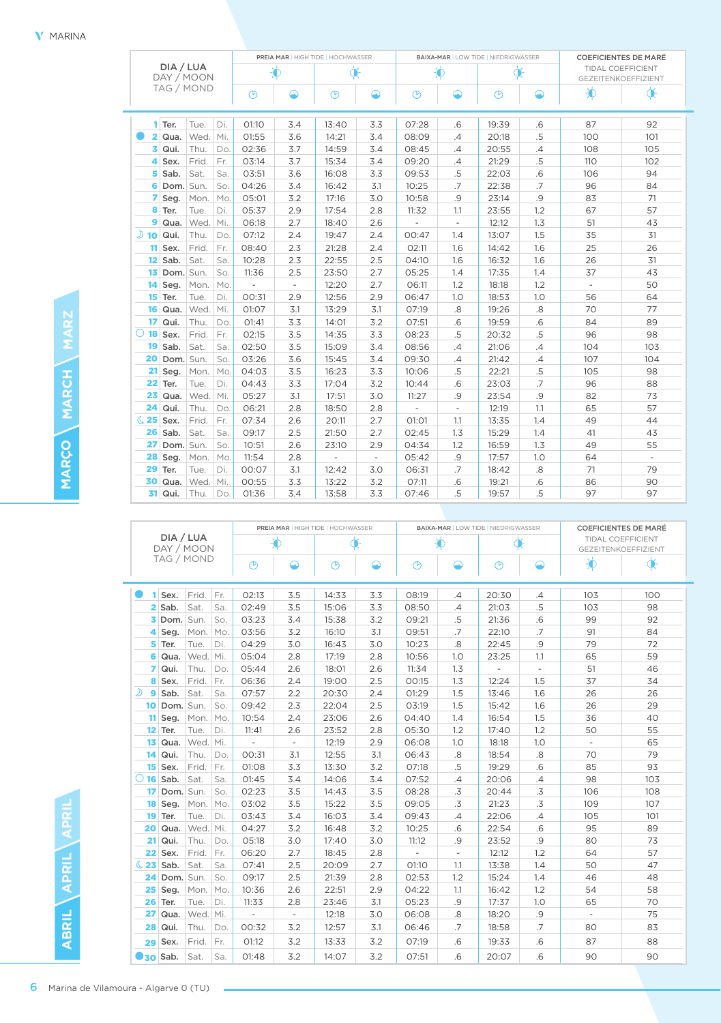|                   |                    |               |            |                |                          | <b>PREIA MAR   HIGH TIDE   HOCHWASSER</b> |                          |       |                          | <b>BAIXA-MAR   LOW TIDE   NIEDRIGWASSER</b> |               | <b>COEFICIENTES DE MARÉ</b>                            |                          |  |
|-------------------|--------------------|---------------|------------|----------------|--------------------------|-------------------------------------------|--------------------------|-------|--------------------------|---------------------------------------------|---------------|--------------------------------------------------------|--------------------------|--|
|                   | DIA / LUA          | DAY / MOON    |            | $\rightarrow$  |                          | Œ                                         |                          | 善     |                          | Œ                                           |               | <b>TIDAL COEFFICIENT</b><br><b>GEZEITENKOEFFIZIENT</b> |                          |  |
|                   |                    | TAG / MOND    |            | ℗              | ♤                        | ৻ঢ়                                       | ଇ                        | ℗     | ♤                        | $\odot$                                     | ♤             | ۰Þ                                                     | ᅊ                        |  |
|                   |                    |               |            |                |                          |                                           |                          | 07:28 |                          | 19:39                                       |               | 87                                                     | 92                       |  |
|                   | 1 Ter.<br>$2$ Qua. | Tue.<br>Wed.  | Di.<br>Mi. | O1:1O<br>01:55 | 3.4<br>3.6               | 13:40<br>14:21                            | 3.3<br>3.4               | 08:09 | .6<br>.4                 | 20:18                                       | .6<br>.5      | 100                                                    | 101                      |  |
| 3                 | Qui.               | Thu.          |            | 02:36          | 3.7                      | 14:59                                     | 3.4                      | 08:45 | $\overline{A}$           | 20:55                                       | .4            | 108                                                    | 105                      |  |
| 4                 |                    |               | Do.        | 03:14          | 3.7                      | 15:34                                     | 3.4                      | 09:20 |                          | 21:29                                       | .5            | 110                                                    | 102                      |  |
| 5                 | Sex.<br>Sab.       | Frid.<br>Sat. | Fr.<br>Sa. | O3:51          | 3.6                      | 16:08                                     | 3.3                      | 09:53 | $\overline{A}$<br>.5     | 22:03                                       | .6            | 106                                                    | 94                       |  |
| 6                 | Dom. Sun.          |               | So.        | 04:26          | 3.4                      | 16:42                                     | 3.1                      | 10:25 | .7                       | 22:38                                       | .7            | 96                                                     | 84                       |  |
| 7                 | Seg.               | Mon.          | Mo.        | 05:01          | 3.2                      | 17:16                                     | 3.0                      | 10:58 | .9                       | 23:14                                       | .9            | 83                                                     | 71                       |  |
| 8                 | Ter.               | Tue.          | Di.        | 05:37          | 2.9                      | 17:54                                     | 2.8                      | 11:32 | 1.1                      | 23:55                                       | 1.2           | 67                                                     | 57                       |  |
| 9                 | Qua.               | Wed.          | Mi.        | 06:18          | 2.7                      | 18:40                                     | 2.6                      | ٠     | $\overline{\phantom{a}}$ | 12:12                                       | 1.3           | 51                                                     | 43                       |  |
| $\overline{2}$ 10 | Qui.               | Thu.          | Do.        | 07:12          | 2.4                      | 19:47                                     | 2.4                      | 00:47 | 1.4                      | 13:07                                       | 1.5           | 35                                                     | 31                       |  |
| 11.               | Sex.               | Frid.         | Fr.        | 08:40          | 2.3                      | 21:28                                     | 2.4                      | O2:11 | 1.6                      | 14:42                                       | 1.6           | 25                                                     | 26                       |  |
| 12                | Sab.               | Sat.          | Sa.        | 10:28          | 2.3                      | 22:55                                     | 2.5                      | 04:10 | 1.6                      | 16:32                                       | 1.6           | 26                                                     | 31                       |  |
| 13                | Dom. Sun.          |               | So.        | 11:36          | 2.5                      | 23:50                                     | 2.7                      | 05:25 | 1.4                      | 17:35                                       | 1.4           | 37                                                     | 43                       |  |
| 14                | Seg.               | Mon.          | Mo.        | J.             | $\overline{\phantom{a}}$ | 12:20                                     | 2.7                      | 06:11 | 1.2                      | 18:18                                       | 1.2           | ٠                                                      | 50                       |  |
| 15                | Ter.               | Tue.          | Di.        | OO:31          | 2.9                      | 12:56                                     | 2.9                      | 06:47 | 1.0                      | 18:53                                       | 1.0           | 56                                                     | 64                       |  |
| 16                | Qua.               | Wed.          | Mi.        | 01:07          | 3.1                      | 13:29                                     | 3.1                      | 07:19 | 8.                       | 19:26                                       | 8.            | 70                                                     | 77                       |  |
| 17                | Qui.               | Thu.          | Do.        | O1:41          | 3.3                      | 14:01                                     | 3.2                      | 07:51 | .6                       | 19:59                                       | .6            | 84                                                     | 89                       |  |
| 18                | Sex.               | Frid.         | Fr.        | 02:15          | 3.5                      | 14:35                                     | 3.3                      | 08:23 | .5                       | 20:32                                       | .5            | 96                                                     | 98                       |  |
| 19                | Sab.               | Sat.          | Sa.        | 02:50          | 3.5                      | 15:09                                     | 3.4                      | 08:56 | $\mathcal{A}$            | 21:06                                       | $\mathcal{A}$ | 104                                                    | 103                      |  |
| 20                | Dom. Sun.          |               | So.        | 03:26          | 3.6                      | 15:45                                     | 3.4                      | 09:30 | .4                       | 21:42                                       | $\mathcal{A}$ | 107                                                    | 104                      |  |
| 21                | Seg.               | Mon.          | Mo.        | 04:03          | 3.5                      | 16:23                                     | 3.3                      | 10:06 | .5                       | 22:21                                       | .5            | 105                                                    | 98                       |  |
| 22                | Ter.               | Tue.          | Di.        | 04:43          | 3.3                      | 17:04                                     | 3.2                      | 10:44 | .6                       | 23:03                                       | .7            | 96                                                     | 88                       |  |
| 23                | Qua.               | Wed.          | Mi.        | 05:27          | 3.1                      | 17:51                                     | 3.0                      | 11:27 | .9                       | 23:54                                       | .9            | 82                                                     | 73                       |  |
| 24                | Qui.               | Thu.          | Do.        | 06:21          | 2.8                      | 18:50                                     | 2.8                      |       | $\overline{\phantom{a}}$ | 12:19                                       | 1.1           | 65                                                     | 57                       |  |
| $\mathbb{C}$ 25   | Sex.               | Frid.         | Fr.        | 07:34          | 2.6                      | 20:11                                     | 2.7                      | O1:O1 | 1.1                      | 13:35                                       | 1.4           | 49                                                     | 44                       |  |
| 26                | Sab.               | Sat.          | Sa.        | 09:17          | 2.5                      | 21:50                                     | 2.7                      | 02:45 | 1.3                      | 15:29                                       | 1.4           | 41                                                     | 43                       |  |
| 27                | Dom. Sun.          |               | So.        | 10:51          | 2.6                      | 23:10                                     | 2.9                      | 04:34 | 1.2                      | 16:59                                       | 1.3           | 49                                                     | 55                       |  |
| 28                | Seg.               | Mon.          | Mo.        | 11:54          | 2.8                      | $\overline{a}$                            | $\overline{\phantom{a}}$ | 05:42 | .9                       | 17:57                                       | 1.0           | 64                                                     | $\overline{\phantom{a}}$ |  |
| 29                | Ter.               | Tue.          | Di.        | 00:07          | 3.1                      | 12:42                                     | 3.0                      | 06:31 | .7                       | 18:42                                       | .8            | 71                                                     | 79                       |  |
| 30                | Qua.               | Wed.          | Mi.        | 00:55          | 3.3                      | 13:22                                     | 3.2                      | 07:11 | .6                       | 19:21                                       | .6            | 86                                                     | 90                       |  |
|                   | <b>31</b> Qui.     | Thu.          | Do.        | 01:36          | 3.4                      | 13:58                                     | 3.3                      | 07:46 | .5                       | 19:57                                       | .5            | 97                                                     | 97                       |  |

| $\circ$ 18      |                         |               |            |                |                          |                                           |                          |                          |                          |                                             |                          |                             |                          |
|-----------------|-------------------------|---------------|------------|----------------|--------------------------|-------------------------------------------|--------------------------|--------------------------|--------------------------|---------------------------------------------|--------------------------|-----------------------------|--------------------------|
|                 | <b>17</b> Qui.          | Thu.          | Do.        | 01:41          | 3.3                      | 14:01                                     | 3.2                      | 07:51                    | .6                       | 19:59                                       | .6                       | 84                          | 89                       |
|                 | Sex.                    | Frid.         | Fr.        | 02:15          | 3.5                      | 14:35                                     | 3.3                      | 08:23                    | .5                       | 20:32                                       | .5                       | 96                          | 98                       |
|                 | 19<br>Sab.              | Sat.          | Sa.        | 02:50          | 3.5                      | 15:09                                     | 3.4                      | 08:56                    | $\cdot$                  | 21:06                                       | $\cdot$                  | 104                         | 103                      |
|                 | 20 Dom. Sun.            |               | So.        | 03:26          | 3.6                      | 15:45                                     | 3.4                      | 09:30                    | $\cdot$                  | 21:42                                       | $\cdot$                  | 107                         | 104                      |
|                 | <b>21</b> Seg.          | Mon.          | Mo.        | 04:03          | 3.5                      | 16:23                                     | 3.3                      | 10:06                    | .5                       | 22:21                                       | .5                       | 105                         | 98                       |
|                 | 22<br>Ter.              | Tue.          | Di.        | 04:43          | 3.3                      | 17:04                                     | 3.2                      | 10:44                    | .6                       | 23:03                                       | .7                       | 96                          | 88                       |
|                 | <b>23</b> Qua.          | Wed.          | Mi.        | 05:27          | 3.1                      | 17:51                                     | 3.0                      | 11:27                    | .9                       | 23:54                                       | .9                       | 82                          | 73                       |
|                 | 24 Qui.                 | Thu.          | Do.        | 06:21          | 2.8                      | 18:50                                     | 2.8                      | $\overline{\phantom{a}}$ | $\overline{\phantom{a}}$ | 12:19                                       | 1.1                      | 65                          | 57                       |
| $\binom{25}{ }$ | Sex.                    | Frid.         | Fr.        | 07:34          | 2.6                      | 20:11                                     | 2.7                      | 01:01                    | 1.1                      | 13:35                                       | 1.4                      | 49                          | 44                       |
|                 | <b>26</b> Sab.          | Sat.          | Sa.        | 09:17          | 2.5                      | 21:50                                     | 2.7                      | 02:45                    | 1.3                      | 15:29                                       | 1.4                      | 41                          | 43                       |
|                 | 27 Dom. Sun.            |               | So.        | 10:51          | 2.6                      | 23:10                                     | 2.9                      | 04:34                    | 1.2                      | 16:59                                       | 1.3                      | 49                          | 55                       |
|                 | 28<br>Seg.              | Mon.          | Mo.        | 11:54          | 2.8                      |                                           | $\overline{\phantom{a}}$ | 05:42                    | .9                       | 17:57                                       | 1.0                      | 64                          | $\overline{\phantom{a}}$ |
|                 | 29<br>Ter.              | Tue.          | Di.        | 00:07          | 3.1                      | 12:42                                     | 3.0                      | 06:31                    | .7                       | 18:42                                       | 8.                       | 71                          | 79                       |
|                 | 30<br>Qua.              | Wed.          | Mi.        | 00:55          | 3.3                      | 13:22                                     | 3.2                      | 07:11                    | .6                       | 19:21                                       | .6                       | 86                          | 90                       |
|                 | $31$ Qui.               | Thu.          | Do.        | 01:36          | 3.4                      | 13:58                                     | 3.3                      | 07:46                    | .5                       | 19:57                                       | .5                       | 97                          | 97                       |
|                 |                         |               |            |                |                          |                                           |                          |                          |                          |                                             |                          |                             |                          |
|                 |                         |               |            |                |                          | <b>PREIA MAR   HIGH TIDE   HOCHWASSER</b> |                          |                          |                          | <b>BAIXA-MAR   LOW TIDE   NIEDRIGWASSER</b> |                          | <b>COEFICIENTES DE MARÉ</b> |                          |
|                 |                         | DIA / LUA     |            |                |                          |                                           |                          |                          |                          |                                             |                          |                             | TIDAL COEFFICIENT        |
|                 | DAY / MOON              |               |            |                |                          |                                           |                          |                          |                          | Q                                           |                          | GEZEITENKOEFFIZIENT         |                          |
|                 | TAG / MOND              |               |            | $\odot$        | ♤                        | $^\circledR$                              | ◒                        | $\circledcirc$           | ♤                        | $\odot$                                     | ♤                        | Ð                           | ⋭                        |
|                 | 1 Sex.                  |               |            |                |                          |                                           |                          |                          |                          |                                             |                          |                             |                          |
|                 |                         | Frid.         | Fr.        | 02:13          | 3.5                      | 14:33                                     | 3.3                      | 08:19                    | .4                       | 20:30                                       | .4                       | 103                         | 100                      |
|                 | 2 Sab.                  | Sat.          | Sa.        | 02:49          | 3.5                      | 15:06                                     | 3.3                      | 08:50                    | $\cdot$                  | 21:03                                       | .5                       | 103                         | 98                       |
|                 | 3 Dom.                  | Sun.          | So.        | 03:23          | 3.4                      | 15:38                                     | 3.2                      | 09:21                    | .5                       | 21:36                                       | .6                       | 99                          | 92                       |
|                 | 4 Seg.                  | Mon.          | Mo.        | 03:56          | 3.2                      | 16:10                                     | 3.1                      | 09:51                    | .7                       | 22:10                                       | .7                       | 91                          | 84                       |
|                 | 5 Ter.                  | Tue.          | Di.        | 04:29          | 3.0                      | 16:43                                     | 3.0                      | 10:23                    | .8                       | 22:45                                       | .9                       | 79                          | 72                       |
|                 | 6 Qua.                  | Wed. Mi.      |            | 05:04          | 2.8                      | 17:19                                     | 2.8                      | 10:56                    | 1.0                      | 23:25                                       | 1.1                      | 65                          | 59                       |
|                 | 7 Qui.                  | Thu.          | Do.        | 05:44          | 2.6                      | 18:01                                     | 2.6                      | 11:34                    | 1.3                      | $\overline{\phantom{a}}$                    | $\overline{\phantom{a}}$ | 51                          | 46                       |
|                 | 8 Sex.                  | Frid.         | Fr.        | 06:36          | 2.4                      | 19:00                                     | 2.5                      | 00:15                    | 1.3                      | 12:24                                       | 1.5                      | 37                          | 34                       |
| ୬               | 9<br>Sab.               | Sat.          | Sa.        | 07:57          | 2.2                      | 20:30                                     | 2.4                      | 01:29                    | 1.5                      | 13:46                                       | 1.6                      | 26                          | 26                       |
|                 | 10 Dom. Sun.            |               | So.        | 09:42          | 2.3                      | 22:04                                     | 2.5                      | 03:19                    | 1.5                      | 15:42                                       | 1.6                      | 26                          | 29                       |
|                 | 11<br>Seg.              | Mon.          | Mo.        | 10:54          | 2.4                      | 23:06                                     | 2.6                      | 04:40                    | 1.4                      | 16:54                                       | 1.5                      | 36                          | 40                       |
|                 | <b>12</b> Ter.          | Tue.          | Di.        | 11:41          | 2.6                      | 23:52                                     | 2.8                      | 05:30                    | 1.2                      | 17:40                                       | 1.2                      | 50                          | 55                       |
|                 | $13$ Qua.               | Wed.          | Mi.        | $\sim$         | ÷,                       | 12:19                                     | 2.9                      | 06:08                    | 1.0                      | 18:18                                       | 1.0                      | ٠                           | 65                       |
|                 | 14<br>Qui.              | Thu.          | Do.        | 00:31          | 3.1                      | 12:55                                     | 3.1                      | 06:43                    | 8.                       | 18:54                                       | 8.                       | 70                          | 79                       |
|                 | <b>15</b> Sex.          | Frid.         | Fr.        | 01:08          | 3.3                      | 13:30                                     | 3.2                      | 07:18                    | .5                       | 19:29                                       | .6                       | 85                          | 93                       |
|                 | $\circ$ 16 Sab.         | Sat.          | Sa.        | 01:45          | 3.4                      | 14:06                                     | 3.4                      | 07:52                    | .4                       | 20:06                                       | $\cdot$                  | 98                          | 103                      |
|                 | 17 Dom. Sun.            |               | So.        | 02:23          | 3.5                      | 14:43                                     | 3.5                      | 08:28                    | .3                       | 20:44                                       | .3                       | 106                         | 108                      |
|                 | 18<br>Seg.              | Mon.          | Mo.        | 03:02          | 3.5                      | 15:22                                     | 3.5                      | 09:05                    | .3                       | 21:23                                       | .3                       | 109                         | 107                      |
|                 | <b>19</b> Ter.          | Tue.          | Di.        | 03:43          | 3.4                      | 16:03                                     | 3.4                      | 09:43                    | .4                       | 22:06                                       | $\cdot$                  | 105                         | 101                      |
|                 |                         | Wed.          | Mi.        | 04:27          | 3.2                      | 16:48                                     | 3.2                      | 10:25                    | .6                       | 22:54                                       | .6                       | 95                          | 89                       |
|                 | 20<br>Qua.              | Thu.          | Do.        | 05:18          | 3.0                      | 17:40                                     | 3.0                      | 11:12                    | 9.                       | 23:52                                       | .9                       | 80                          | 73                       |
|                 | 21<br>Qui.              |               | Fr.        | 06:20          | 2.7                      | 18:45                                     | 2.8                      | $\overline{\phantom{a}}$ | $\overline{\phantom{a}}$ | 12:12                                       | 1.2                      | 64                          | 57                       |
|                 | <b>22</b> Sex.          | Frid.         |            |                | 2.5                      | 20:09                                     | 2.7                      | 01:10                    | 1.1                      | 13:38                                       | 1.4                      | 50                          | 47                       |
| $\langle 23$    | Sab.                    | Sat.          | Sa.        | 07:41          |                          |                                           | 2.8                      | 02:53                    | 1.2                      | 15:24                                       | 1.4                      | 46                          | 48                       |
|                 | 24 <sup>°</sup><br>Dom. | Sun.          | So.        | 09:17          | 2.5                      | 21:39                                     |                          |                          |                          | 16:42                                       | 1.2                      | 54                          | 58                       |
|                 | <b>25</b> Seg.          | Mon.          | Mo.        | 10:36          | 2.6                      | 22:51                                     | 2.9                      | 04:22                    | 1.1                      |                                             |                          |                             |                          |
|                 | 26<br>Ter.              | Tue.          | Di.        | 11:33          | 2.8                      | 23:46                                     | 3.1                      | 05:23                    | .9                       | 17:37                                       | 1.0                      | 65                          |                          |
|                 | <b>27</b> Qua.          | Wed.          | Mi.        | $\sim$         | $\overline{\phantom{a}}$ | 12:18                                     | 3.0                      | 06:08                    | 8.                       | 18:20                                       | .9                       | $\overline{\phantom{a}}$    |                          |
|                 | Qui.<br>28              | Thu.          | Do.        | 00:32          | 3.2                      |                                           | 3.1                      |                          | .7                       | 18:58                                       | .7                       | 80                          | 70<br>75<br>83           |
|                 |                         |               |            |                |                          | 12:57                                     |                          | 06:46                    |                          |                                             |                          |                             |                          |
|                 | 29 Sex.<br>30 Sab.      | Frid.<br>Sat. | Fr.<br>Sa. | 01:12<br>01:48 | 3.2<br>3.2               | 13:33<br>14:07                            | 3.2<br>3.2               | 07:19<br>07:51           | .6<br>.6                 | 19:33<br>20:07                              | .6<br>.6                 | 87<br>90                    | 88<br>90                 |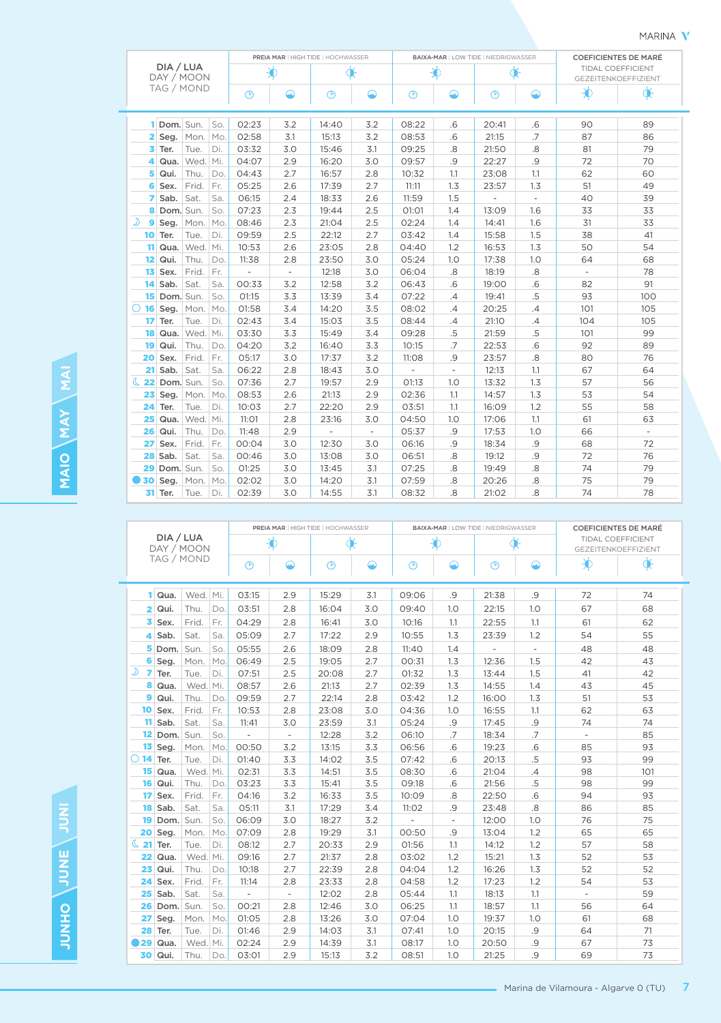|                         |                         |     |                          |                          | <b>PREIA MAR   HIGH TIDE   HOCHWASSER</b> |     |                |                          | <b>BAIXA-MAR   LOW TIDE   NIEDRIGWASSER</b> |                          | <b>COEFICIENTES DE MARÉ</b>                            |     |  |
|-------------------------|-------------------------|-----|--------------------------|--------------------------|-------------------------------------------|-----|----------------|--------------------------|---------------------------------------------|--------------------------|--------------------------------------------------------|-----|--|
|                         | DIA / LUA<br>DAY / MOON |     | Ă                        |                          | Œ                                         |     |                | -XD                      | ᅊ                                           |                          | <b>TIDAL COEFFICIENT</b><br><b>GEZEITENKOEFFIZIENT</b> |     |  |
|                         | TAG / MOND              |     | $\odot$                  | ♤                        | $\odot$                                   | ♤   | $\circledcirc$ | ♤                        | $\circledcirc$                              | ♤                        | 沙                                                      | 美   |  |
|                         | 1 Dom. Sun.             | So. | 02:23                    | 3.2                      | 14:40                                     | 3.2 | 08:22          | .6                       | 20:41                                       | .6                       | 90                                                     | 89  |  |
| 2 Seg.                  | Mon.                    | Mo. | 02:58                    | 3.1                      | 15:13                                     | 3.2 | 08:53          | .6                       | 21:15                                       | .7                       | 87                                                     | 86  |  |
| 3 Ter.                  | Tue.                    | Di. | 03:32                    | 3.0                      | 15:46                                     | 3.1 | 09:25          | 8.                       | 21:50                                       | 8.                       | 81                                                     | 79  |  |
| 4<br>Qua.               | Wed.                    | Mi. | 04:07                    | 2.9                      | 16:20                                     | 3.0 | 09:57          | .9                       | 22:27                                       | .9                       | 72                                                     | 70  |  |
| $5$ Qui.                | Thu.                    | Do. | 04:43                    | 2.7                      | 16:57                                     | 2.8 | 10:32          | 1.1                      | 23:08                                       | 1.1                      | 62                                                     | 60  |  |
| 6<br>Sex.               | Frid.                   | Fr. | 05:25                    | 2.6                      | 17:39                                     | 2.7 | 11:11          | 1.3                      | 23:57                                       | 1.3                      | 51                                                     | 49  |  |
| $\overline{ }$<br>Sab.  | Sat.                    | Sa. | 06:15                    | 2.4                      | 18:33                                     | 2.6 | 11:59          | 1.5                      | ä,                                          | $\overline{\phantom{a}}$ | 40                                                     | 39  |  |
|                         | 8 Dom. Sun.             | So. | 07:23                    | 2.3                      | 19:44                                     | 2.5 | O1:O1          | 1.4                      | 13:09                                       | 1.6                      | 33                                                     | 33  |  |
| ♪<br>9<br>Seg.          | Mon.                    | Mo. | 08:46                    | 2.3                      | 21:04                                     | 2.5 | 02:24          | 1.4                      | 14:41                                       | 1.6                      | 31                                                     | 33  |  |
| 10 <sup>1</sup><br>Ter. | Tue.                    | Di. | 09:59                    | 2.5                      | 22:12                                     | 2.7 | 03:42          | 1.4                      | 15:58                                       | 1.5                      | 38                                                     | 41  |  |
| Qua.<br>11.             | Wed. Mi.                |     | 10:53                    | 2.6                      | 23:05                                     | 2.8 | 04:40          | 1.2                      | 16:53                                       | 1.3                      | 50                                                     | 54  |  |
| $12 \,$<br>Qui.         | Thu.                    | Do. | 11:38                    | 2.8                      | 23:50                                     | 3.0 | 05:24          | 1.0                      | 17:38                                       | 1.0                      | 64                                                     | 68  |  |
| 13 <sup>1</sup><br>Sex. | Frid.                   | Fr. | $\overline{\phantom{a}}$ | $\overline{\phantom{a}}$ | 12:18                                     | 3.0 | 06:04          | 8.                       | 18:19                                       | .8                       | $\overline{\phantom{a}}$                               | 78  |  |
| 14<br>Sab.              | Sat.                    | Sa. | 00:33                    | 3.2                      | 12:58                                     | 3.2 | 06:43          | .6                       | 19:00                                       | .6                       | 82                                                     | 91  |  |
| 15 <sup>1</sup>         | Dom. Sun.               | So. | 01:15                    | 3.3                      | 13:39                                     | 3.4 | 07:22          | $\overline{A}$           | 19:41                                       | .5                       | 93                                                     | 100 |  |
| 16<br>Seg.              | Mon.                    | Mo. | 01:58                    | 3.4                      | 14:20                                     | 3.5 | 08:02          | $\cdot$                  | 20:25                                       | $\mathcal{A}$            | 101                                                    | 105 |  |
| 17 <sup>1</sup><br>Ter. | Tue.                    | Di. | 02:43                    | 3.4                      | 15:03                                     | 3.5 | 08:44          | .4                       | 21:10                                       | .4                       | 104                                                    | 105 |  |
| 18                      | Qua. Wed.               | Mi. | 03:30                    | 3.3                      | 15:49                                     | 3.4 | 09:28          | .5                       | 21:59                                       | .5                       | 101                                                    | 99  |  |
| 19<br>Qui.              | Thu.                    | Do. | 04:20                    | 3.2                      | 16:40                                     | 3.3 | 10:15          | .7                       | 22:53                                       | .6                       | 92                                                     | 89  |  |
| Sex.<br>20 <sup>1</sup> | Frid.                   | Fr. | 05:17                    | 3.0                      | 17:37                                     | 3.2 | 11:08          | .9                       | 23:57                                       | .8                       | 80                                                     | 76  |  |
| <b>21</b> Sab.          | Sat.                    | Sa. | 06:22                    | 2.8                      | 18:43                                     | 3.0 | ÷,             | $\overline{\phantom{a}}$ | 12:13                                       | 1.1                      | 67                                                     | 64  |  |
| Œ.<br>22                | Dom. Sun.               | So. | 07:36                    | 2.7                      | 19:57                                     | 2.9 | 01:13          | 1.0                      | 13:32                                       | 1.3                      | 57                                                     | 56  |  |
| 23<br>Seg.              | Mon.                    | Mo  | 08:53                    | 2.6                      | 21:13                                     | 2.9 | 02:36          | 1.1                      | 14:57                                       | 1.3                      | 53                                                     | 54  |  |
| 24<br>Ter.              | Tue.                    | Di. | 10:03                    | 2.7                      | 22:20                                     | 2.9 | 03:51          | 1.1                      | 16:09                                       | 1.2                      | 55                                                     | 58  |  |
| 25<br>Qua.              | Wed.                    | Mi. | 11:01                    | 2.8                      | 23:16                                     | 3.0 | 04:50          | 1.0                      | 17:06                                       | 1.1                      | 61                                                     | 63  |  |
| Qui.<br>26              | Thu.                    | Do. | 11:48                    | 2.9                      | ٠                                         | ÷,  | 05:37          | .9                       | 17:53                                       | 1.0                      | 66                                                     | ٠   |  |
| Sex.<br>27              | Frid.                   | Fr. | 00:04                    | 3.0                      | 12:30                                     | 3.0 | 06:16          | .9                       | 18:34                                       | .9                       | 68                                                     | 72  |  |
| <b>28</b> Sab.          | Sat.                    | Sa. | 00:46                    | 3.0                      | 13:08                                     | 3.0 | 06:51          | 8.                       | 19:12                                       | .9                       | 72                                                     | 76  |  |
|                         | 29 Dom. Sun.            | So. | 01:25                    | 3.0                      | 13:45                                     | 3.1 | 07:25          | 8.                       | 19:49                                       | 8.                       | 74                                                     | 79  |  |
| Seg.<br>30              | Mon.                    | Mo  | 02:02                    | 3.0                      | 14:20                                     | 3.1 | 07:59          | 8.                       | 20:26                                       | 8.                       | 75                                                     | 79  |  |
| <b>31</b> Ter.          | Tue.                    | Di. | 02:39                    | 3.0                      | 14:55                                     | 3.1 | 08:32          | 8.                       | 21:02                                       | 8.                       | 74                                                     | 78  |  |

|                      |                                       |               |            |                                   |                       | PREIA MAR   HIGH TIDE   HOCHWASSER |            |                |               | <b>BAIXA-MAR   LOW TIDE   NIEDRIGWASSER</b> |                          | <b>COEFICIENTES DE MARÉ</b>                            |          |  |
|----------------------|---------------------------------------|---------------|------------|-----------------------------------|-----------------------|------------------------------------|------------|----------------|---------------|---------------------------------------------|--------------------------|--------------------------------------------------------|----------|--|
|                      | DIA / LUA<br>DAY / MOON               |               |            |                                   | Ò                     | œ                                  |            |                | Ð             |                                             |                          | <b>TIDAL COEFFICIENT</b><br><b>GEZEITENKOEFFIZIENT</b> |          |  |
|                      | TAG / MOND                            |               |            | $\odot$                           | ♤                     | $\circled{r}$                      | ♤          | ℗              | ♤             | ℗                                           | ♤                        | ◆                                                      | ¢        |  |
| 11                   | Qua.                                  | Wed. Mi.      |            | 03:15                             | 2.9                   | 15:29                              | 3.1        | 09:06          | .9            | 21:38                                       | .9                       | 72                                                     | 74       |  |
|                      | $2$ Qui.                              | Thu.          | Do.        | 03:51                             | 2.8                   | 16:04                              | 3.0        | 09:40          | 1.0           | 22:15                                       | 1.0                      | 67                                                     | 68       |  |
|                      | $3$ Sex.                              | Frid.         | Fr.        | 04:29                             | 2.8                   | 16:41                              | 3.0        | 10:16          | 1.1           | 22:55                                       | 1.1                      | 61                                                     | 62       |  |
|                      | 4 Sab.                                | Sat.          | Sa.        | 05:09                             | 2.7                   | 17:22                              | 2.9        | 10:55          | 1.3           | 23:39                                       | 1.2                      | 54                                                     | 55       |  |
|                      | 5 Dom.                                | Sun.          | So.        | 05:55                             | 2.6                   | 18:09                              | 2.8        | 11:40          | 1.4           | L,                                          | $\overline{\phantom{a}}$ | 48                                                     | 48       |  |
|                      | 6 Seg.                                | Mon.          | Mo         | 06:49                             | 2.5                   | 19:05                              | 2.7        | 00:31          | 1.3           | 12:36                                       | 1.5                      | 42                                                     | 43       |  |
| ♪                    | 7 Ter.                                | Tue.          | Di.        | 07:51                             | 2.5                   | 20:08                              | 2.7        | 01:32          | 1.3           | 13:44                                       | 1.5                      | 41                                                     | 42       |  |
|                      | 8 Qua.                                | Wed. Mi.      |            | 08:57                             | 2.6                   | 21:13                              | 2.7        | 02:39          | 1.3           | 14:55                                       | 1.4                      | 43                                                     | 45       |  |
|                      | $9$ Qui.                              | Thu.          | Do.        | 09:59                             | 2.7                   | 22:14                              | 2.8        | 03:42          | 1.2           | 16:00                                       | 1.3                      | 51                                                     | 53       |  |
|                      | <b>10</b> Sex.                        | Frid.         | Fr.        | 10:53                             | 2.8                   | 23:08                              | 3.0        | 04:36          | 1.0           | 16:55                                       | 1.1                      | 62                                                     | 63       |  |
|                      | $11$ Sab.                             | Sat.          | Sa.        | 11:41                             | 3.0                   | 23:59                              | 3.1        | 05:24          | .9            | 17:45                                       | .9                       | 74                                                     | 74       |  |
|                      | <b>12</b> Dom.                        | Sun.          | So.        | $\overline{a}$                    | $\overline{a}$        | 12:28                              | 3.2        | 06:10          | .7            | 18:34                                       | .7                       | $\overline{\phantom{a}}$                               | 85       |  |
|                      | <b>13</b> Seg.                        | Mon.          | Mo         | 00:50                             | 3.2                   | 13:15                              | 3.3        | 06:56          | .6            | 19:23                                       | .6                       | 85                                                     | 93       |  |
| $\bigcirc$ 14 Ter.   |                                       | Tue.          | Di.        | 01:40                             | 3.3                   | 14:02                              | 3.5        | 07:42          | .6            | 20:13                                       | $.5\,$                   | 93                                                     | 99       |  |
|                      | $15$ Qua.                             | Wed. Mi.      |            | 02:31                             | 3.3                   | 14:51                              | 3.5        | 08:30          | .6            | 21:04                                       | .4                       | 98                                                     | 101      |  |
|                      | <b>16</b> Qui.                        | Thu.          | Do.        | 03:23                             | 3.3                   | 15:41                              | 3.5        | 09:18          | .6            | 21:56                                       | .5                       | 98                                                     | 99       |  |
|                      | <b>17</b> Sex.                        | Frid.         | Fr.        | 04:16                             | 3.2                   | 16:33                              | 3.5        | 10:09          | 8.            | 22:50                                       | .6                       | 94                                                     | 93       |  |
|                      | <b>18</b> Sab.                        | Sat.          | Sa.        | 05:11                             | 3.1                   | 17:29                              | 3.4        | 11:02          | .9            | 23:48                                       | .8                       | 86                                                     | 85       |  |
|                      | <b>19</b> Dom.                        | Sun.          | So.        | 06:09                             | 3.0                   | 18:27                              | 3.2        | L,             | $\frac{1}{2}$ | 12:00                                       | 1.0                      | 76                                                     | 75       |  |
|                      | <b>20</b> Seg.                        | Mon.          | Mo         | 07:09                             | 2.8                   | 19:29                              | 3.1        | 00:50          | .9            | 13:04                                       | 1.2                      | 65                                                     | 65       |  |
| $\mathbb{C}$ 21 Ter. |                                       | Tue.          | Di.        | 08:12                             | 2.7                   | 20:33                              | 2.9        | 01:56          | 1.1           | 14:12                                       | 1.2                      | 57                                                     | 58       |  |
|                      | $22$ Qua.                             | Wed. Mi.      |            | 09:16                             | 2.7                   | 21:37                              | 2.8        | 03:02          | 1.2           | 15:21                                       | 1.3                      | 52                                                     | 53       |  |
|                      | <b>23</b> Qui.                        | Thu.<br>Frid. | Do.        | 10:18                             | 2.7                   | 22:39                              | 2.8        | 04:04          | 1.2           | 16:26                                       | 1.3<br>1.2               | 52                                                     | 52       |  |
|                      | <b>24</b> Sex.                        |               | Fr.        | 11:14                             | 2.8                   | 23:33                              | 2.8        | 04:58          | 1.2           | 17:23                                       |                          | 54                                                     | 53       |  |
|                      | <b>25</b> Sab.<br><b>26</b> Dom. Sun. | Sat.          | Sa.<br>So. | $\overline{\phantom{a}}$<br>OO:21 | $\overline{a}$<br>2.8 | 12:02<br>12:46                     | 2.8<br>3.0 | 05:44<br>06:25 | 1.1<br>1.1    | 18:13<br>18:57                              | 1.1<br>1.1               | $\overline{\phantom{a}}$<br>56                         | 59<br>64 |  |
|                      | <b>27</b> Seg.                        | Mon.          | Mo         | 01:05                             | 2.8                   | 13:26                              | 3.0        | 07:04          | 1.0           | 19:37                                       | 1.0                      | 61                                                     | 68       |  |
|                      | <b>28</b> Ter.                        | Tue.          | Di.        | O1:46                             | 2.9                   | 14:03                              | 3.1        | O7:41          | 1.0           | 20:15                                       | .9                       | 64                                                     | 71       |  |
|                      | <b>29</b> Qua.                        | Wed. Mi.      |            | 02:24                             | 2.9                   | 14:39                              | 3.1        | 08:17          | 1.0           | 20:50                                       | .9                       | 67                                                     | 73       |  |
|                      | <b>30</b> Qui.                        | Thu.          | Do.        | 03:01                             | 2.9                   | 15:13                              | 3.2        | 08:51          | 1.0           | 21:25                                       | .9                       | 69                                                     | 73       |  |
|                      |                                       |               |            |                                   |                       |                                    |            |                |               |                                             |                          |                                                        |          |  |

MAIO MAY MAI **MAIO MAI**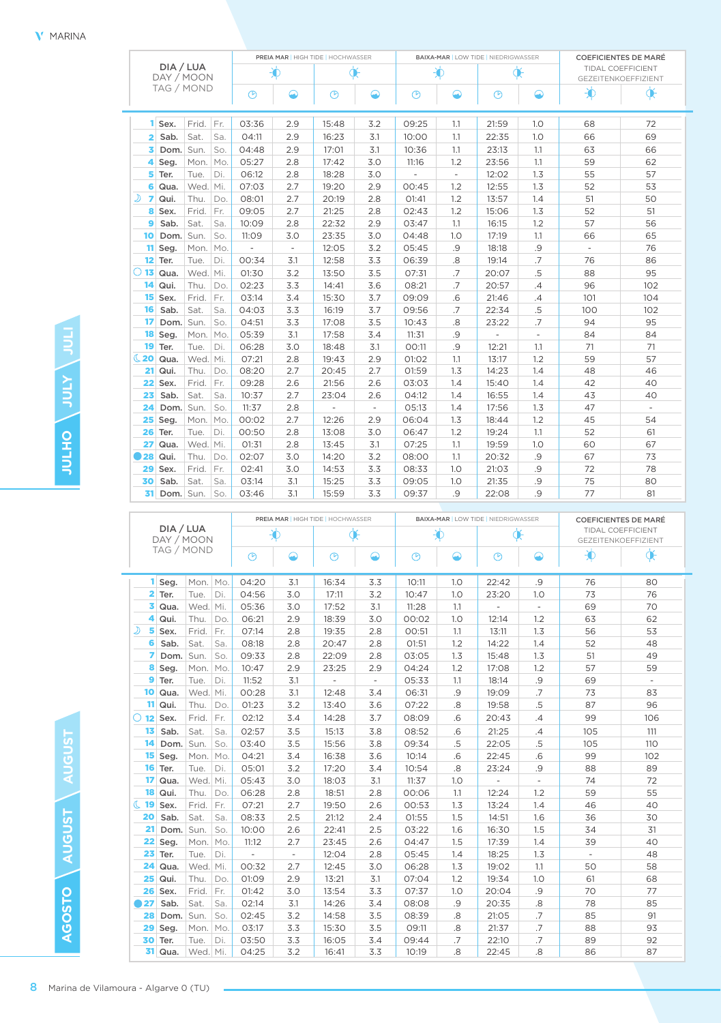| DIA / LUA       |                |       |     |       |                          | <b>PREIA MAR   HIGH TIDE   HOCHWASSER</b> |                          |       |                | <b>BAIXA-MAR   LOW TIDE   NIEDRIGWASSER</b> |                          | <b>COEFICIENTES DE MARÉ</b>                            |                          |  |
|-----------------|----------------|-------|-----|-------|--------------------------|-------------------------------------------|--------------------------|-------|----------------|---------------------------------------------|--------------------------|--------------------------------------------------------|--------------------------|--|
|                 | DAY / MOON     |       |     | ÷¢    |                          | Œ                                         |                          |       | -XD            | Œ                                           |                          | <b>TIDAL COEFFICIENT</b><br><b>GEZEITENKOEFFIZIENT</b> |                          |  |
|                 | TAG / MOND     |       |     | ℗     | ♤                        | $\circledcirc$                            | ♤                        | ℗     | ♤              | ℗                                           | ♤                        | ÷Ò                                                     | ⋭                        |  |
|                 | 1 Sex.         | Frid. | Fr. | 03:36 | 2.9                      | 15:48                                     | 3.2                      | 09:25 | 1.1            | 21:59                                       | 1.0                      | 68                                                     | 72                       |  |
| 2               | Sab.           | Sat.  | Sa. | 04:11 | 2.9                      | 16:23                                     | 3.1                      | 10:00 | 1.1            | 22:35                                       | 1.0                      | 66                                                     | 69                       |  |
| 3               | Dom.           | Sun.  | So. | 04:48 | 2.9                      | 17:01                                     | 3.1                      | 10:36 | 1.1            | 23:13                                       | 1.1                      | 63                                                     | 66                       |  |
| 4               | Seg.           | Mon.  | Mo. | 05:27 | 2.8                      | 17:42                                     | 3.0                      | 11:16 | 1.2            | 23:56                                       | 1.1                      | 59                                                     | 62                       |  |
| 5               | Ter.           | Tue.  | Di. | 06:12 | 2.8                      | 18:28                                     | 3.0                      | ä,    | $\overline{a}$ | 12:02                                       | 1.3                      | 55                                                     | 57                       |  |
| 6               | Qua.           | Wed.  | Mi. | 07:03 | 2.7                      | 19:20                                     | 2.9                      | 00:45 | 1.2            | 12:55                                       | 1.3                      | 52                                                     | 53                       |  |
| ♪<br>7          | Qui.           | Thu.  | Do. | 08:01 | 2.7                      | 20:19                                     | 2.8                      | O1:41 | 1.2            | 13:57                                       | 1.4                      | 51                                                     | 50                       |  |
| 8               | Sex.           | Frid. | Fr. | 09:05 | 2.7                      | 21:25                                     | 2.8                      | 02:43 | 1.2            | 15:06                                       | 1.3                      | 52                                                     | 51                       |  |
| 9               | Sab.           | Sat.  | Sa. | 10:09 | 2.8                      | 22:32                                     | 2.9                      | 03:47 | 1.1            | 16:15                                       | 1.2                      | 57                                                     | 56                       |  |
| 10              | Dom.           | Sun.  | So. | 11:09 | 3.0                      | 23:35                                     | 3.0                      | 04:48 | 1.0            | 17:19                                       | 1.1                      | 66                                                     | 65                       |  |
| 11              | Seg.           | Mon.  | Mo. | ÷.    | $\overline{\phantom{a}}$ | 12:05                                     | 3.2                      | 05:45 | .9             | 18:18                                       | .9                       | ٠                                                      | 76                       |  |
|                 | <b>12</b> Ter. | Tue.  | Di. | 00:34 | 3.1                      | 12:58                                     | 3.3                      | 06:39 | .8             | 19:14                                       | .7                       | 76                                                     | 86                       |  |
| $\circ$ 13      | Qua.           | Wed.  | Mi. | 01:30 | 3.2                      | 13:50                                     | 3.5                      | 07:31 | .7             | 20:07                                       | .5                       | 88                                                     | 95                       |  |
| 14              | Qui.           | Thu.  | Do. | 02:23 | 3.3                      | 14:41                                     | 3.6                      | 08:21 | .7             | 20:57                                       | .4                       | 96                                                     | 102                      |  |
| 15              | Sex.           | Frid. | Fr. | 03:14 | 3.4                      | 15:30                                     | 3.7                      | 09:09 | .6             | 21:46                                       | .4                       | 101                                                    | 104                      |  |
| 16              | Sab.           | Sat.  | Sa. | 04:03 | 3.3                      | 16:19                                     | 3.7                      | 09:56 | .7             | 22:34                                       | .5                       | 100                                                    | 102                      |  |
| 17              | Dom.           | Sun.  | So. | 04:51 | 3.3                      | 17:08                                     | 3.5                      | 10:43 | .8             | 23:22                                       | .7                       | 94                                                     | 95                       |  |
| 18              | Seg.           | Mon.  | Mo  | 05:39 | 3.1                      | 17:58                                     | 3.4                      | 11:31 | .9             | ä,                                          | $\overline{\phantom{a}}$ | 84                                                     | 84                       |  |
| 19              | Ter.           | Tue.  | Di. | 06:28 | 3.0                      | 18:48                                     | 3.1                      | 00:11 | .9             | 12:21                                       | 1.1                      | 71                                                     | 71                       |  |
| $\mathsf{C}$ 20 | Qua.           | Wed.  | Mi. | 07:21 | 2.8                      | 19:43                                     | 2.9                      | 01:02 | 1.1            | 13:17                                       | 1.2                      | 59                                                     | 57                       |  |
| 21              | Qui.           | Thu.  | Do. | 08:20 | 2.7                      | 20:45                                     | 2.7                      | 01:59 | 1.3            | 14:23                                       | 1.4                      | 48                                                     | 46                       |  |
| 22              | Sex.           | Frid. | Fr. | 09:28 | 2.6                      | 21:56                                     | 2.6                      | 03:03 | 1.4            | 15:40                                       | 1.4                      | 42                                                     | 40                       |  |
| 23              | Sab.           | Sat.  | Sa. | 10:37 | 2.7                      | 23:04                                     | 2.6                      | 04:12 | 1.4            | 16:55                                       | 1.4                      | 43                                                     | 40                       |  |
| 24              | Dom.           | Sun.  | So. | 11:37 | 2.8                      | à.                                        | $\overline{\phantom{a}}$ | 05:13 | 1.4            | 17:56                                       | 1.3                      | 47                                                     | $\overline{\phantom{a}}$ |  |
| 25              | Seg.           | Mon.  | Mo. | 00:02 | 2.7                      | 12:26                                     | 2.9                      | 06:04 | 1.3            | 18:44                                       | 1.2                      | 45                                                     | 54                       |  |
| 26              | Ter.           | Tue.  | Di. | 00:50 | 2.8                      | 13:08                                     | 3.0                      | 06:47 | 1.2            | 19:24                                       | 1.1                      | 52                                                     | 61                       |  |
| 27              | Qua.           | Wed.  | Mi. | O1:31 | 2.8                      | 13:45                                     | 3.1                      | 07:25 | 1.1            | 19:59                                       | 1.0                      | 60                                                     | 67                       |  |
| <b>0</b> 28     | Qui.           | Thu.  | Do. | 02:07 | 3.0                      | 14:20                                     | 3.2                      | 08:00 | 1.1            | 20:32                                       | .9                       | 67                                                     | 73                       |  |
| 29              | Sex.           | Frid. | Fr. | O2:41 | 3.0                      | 14:53                                     | 3.3                      | 08:33 | 1.0            | 21:03                                       | .9                       | 72                                                     | 78                       |  |
| 30              | Sab.           | Sat.  | Sa. | 03:14 | 3.1                      | 15:25                                     | 3.3                      | 09:05 | 1.0            | 21:35                                       | 9.                       | 75                                                     | 80                       |  |
| 31.             | Dom. Sun.      |       | So. | 03:46 | 3.1                      | 15:59                                     | 3.3                      | 09:37 | .9             | 22:08                                       | .9                       | 77                                                     | 81                       |  |

|                   |                         |            |     |                          |                          | <b>PREIA MAR   HIGH TIDE   HOCHWASSER</b> |                          |       |     | <b>BAIXA-MAR   LOW TIDE   NIEDRIGWASSER</b> |                          | <b>COEFICIENTES DE MARÉ</b>                            |                          |  |
|-------------------|-------------------------|------------|-----|--------------------------|--------------------------|-------------------------------------------|--------------------------|-------|-----|---------------------------------------------|--------------------------|--------------------------------------------------------|--------------------------|--|
|                   | DIA / LUA<br>DAY / MOON |            |     |                          |                          | Œ                                         |                          | Ù     |     | Œ                                           |                          | <b>TIDAL COEFFICIENT</b><br><b>GEZEITENKOEFFIZIENT</b> |                          |  |
|                   | TAG / MOND              |            |     | $\circled{r}$            | ω                        | $\odot$                                   | ω                        | ℗     | ♤   | $\circledcirc$                              | ω                        | ۰Ò                                                     |                          |  |
|                   | 1 Seg.                  | Mon. Mo.   |     | 04:20                    | 3.1                      | 16:34                                     | 3.3                      | 10:11 | 1.0 | 22:42                                       | .9                       | 76                                                     | 80                       |  |
|                   | 2 Ter.                  | Tue.       | Di. | 04:56                    | 3.0                      | 17:11                                     | 3.2                      | 10:47 | 1.0 | 23:20                                       | 1.0                      | 73                                                     | 76                       |  |
| 31                | Qua.                    | Wed. Mi.   |     | 05:36                    | 3.0                      | 17:52                                     | 3.1                      | 11:28 | 1.1 | $\overline{\phantom{a}}$                    | $\overline{\phantom{a}}$ | 69                                                     | 70                       |  |
| 4                 | Qui.                    | Thu.       | Do. | 06:21                    | 2.9                      | 18:39                                     | 3.0                      | 00:02 | 1.0 | 12:14                                       | 1.2                      | 63                                                     | 62                       |  |
| ♪                 | $5$ Sex.                | Frid.      | Fr. | 07:14                    | 2.8                      | 19:35                                     | 2.8                      | 00:51 | 1.1 | 13:11                                       | 1.3                      | 56                                                     | 53                       |  |
| 6                 | Sab.                    | Sat.       | Sa. | 08:18                    | 2.8                      | 20:47                                     | 2.8                      | 01:51 | 1.2 | 14:22                                       | 1.4                      | 52                                                     | 48                       |  |
| 7                 | Dom. Sun.               |            | So. | 09:33                    | 2.8                      | 22:09                                     | 2.8                      | 03:05 | 1.3 | 15:48                                       | 1.3                      | 51                                                     | 49                       |  |
|                   | 8 Seg.                  | Mon. Mo.   |     | 10:47                    | 2.9                      | 23:25                                     | 2.9                      | 04:24 | 1.2 | 17:08                                       | 1.2                      | 57                                                     | 59                       |  |
| 9                 | Ter.                    | Tue.       | Di. | 11:52                    | 3.1                      |                                           | $\overline{\phantom{a}}$ | 05:33 | 1.1 | 18:14                                       | .9                       | 69                                                     | $\overline{\phantom{a}}$ |  |
| 10 <sup>1</sup>   | Qua.                    | Wed. Mi.   |     | 00:28                    | 3.1                      | 12:48                                     | 3.4                      | 06:31 | .9  | 19:09                                       | .7                       | 73                                                     | 83                       |  |
|                   | $11$ Qui.               | Thu.       | Do. | 01:23                    | 3.2                      | 13:40                                     | 3.6                      | 07:22 | 8.  | 19:58                                       | .5                       | 87                                                     | 96                       |  |
| $12 \overline{ }$ | Sex.                    | Frid.      | Fr. | O2:12                    | 3.4                      | 14:28                                     | 3.7                      | 08:09 | .6  | 20:43                                       | .4                       | 99                                                     | 106                      |  |
| 13                | Sab.                    | Sat.       | Sa. | 02:57                    | 3.5                      | 15:13                                     | 3.8                      | 08:52 | .6  | 21:25                                       | $\mathcal{A}$            | 105                                                    | 111                      |  |
| 14                | Dom.                    | Sun.       | So. | 03:40                    | 3.5                      | 15:56                                     | 3.8                      | 09:34 | .5  | 22:05                                       | $.5\,$                   | 105                                                    | 110                      |  |
| 15                | Seg.                    | Mon.   Mo. |     | 04:21                    | 3.4                      | 16:38                                     | 3.6                      | 10:14 | .6  | 22:45                                       | .6                       | 99                                                     | 102                      |  |
| 16                | Ter.                    | Tue.       | Di. | 05:01                    | 3.2                      | 17:20                                     | 3.4                      | 10:54 | .8  | 23:24                                       | .9                       | 88                                                     | 89                       |  |
| 17                | Qua.                    | Wed. Mi.   |     | 05:43                    | 3.0                      | 18:03                                     | 3.1                      | 11:37 | 1.0 | à.                                          | ×.                       | 74                                                     | 72                       |  |
| 18                | Qui.                    | Thu.       | Do. | 06:28                    | 2.8                      | 18:51                                     | 2.8                      | 00:06 | 1.1 | 12:24                                       | 1.2                      | 59                                                     | 55                       |  |
| (19)              | Sex.                    | Frid.      | Fr. | 07:21                    | 2.7                      | 19:50                                     | 2.6                      | 00:53 | 1.3 | 13:24                                       | 1.4                      | 46                                                     | 40                       |  |
| 20                | Sab.                    | Sat.       | Sa. | 08:33                    | 2.5                      | 21:12                                     | 2.4                      | 01:55 | 1.5 | 14:51                                       | 1.6                      | 36                                                     | 30                       |  |
| 21                | Dom.                    | Sun.       | So. | 10:00                    | 2.6                      | 22:41                                     | 2.5                      | 03:22 | 1.6 | 16:30                                       | 1.5                      | 34                                                     | 31                       |  |
| 22                | Seg.                    | Mon.   Mo. |     | 11:12                    | 2.7                      | 23:45                                     | 2.6                      | 04:47 | 1.5 | 17:39                                       | 1.4                      | 39                                                     | 40                       |  |
| 23                | Ter.                    | Tue.       | Di. | $\overline{\phantom{a}}$ | $\overline{\phantom{a}}$ | 12:04                                     | 2.8                      | 05:45 | 1.4 | 18:25                                       | 1.3                      | $\overline{\phantom{a}}$                               | 48                       |  |
| 24                | Qua.                    | Wed. Mi.   |     | 00:32                    | 2.7                      | 12:45                                     | 3.0                      | 06:28 | 1.3 | 19:02                                       | 1.1                      | 50                                                     | 58                       |  |
| 25                | Qui.                    | Thu.       | Do. | 01:09                    | 2.9                      | 13:21                                     | 3.1                      | 07:04 | 1.2 | 19:34                                       | 1.0                      | 61                                                     | 68                       |  |
| 26                | Sex.                    | Frid.      | Fr. | 01:42                    | 3.0                      | 13:54                                     | 3.3                      | 07:37 | 1.0 | 20:04                                       | .9                       | 70                                                     | 77                       |  |
| D 27              | Sab.                    | Sat.       | Sa. | 02:14                    | 3.1                      | 14:26                                     | 3.4                      | 08:08 | .9  | 20:35                                       | .8                       | 78                                                     | 85                       |  |
| 28                | Dom.                    | Sun.       | So. | 02:45                    | 3.2                      | 14:58                                     | 3.5                      | 08:39 | .8  | 21:05                                       | .7                       | 85                                                     | 91                       |  |
| 29                | Seg.                    | Mon.   Mo. |     | 03:17                    | 3.3                      | 15:30                                     | 3.5                      | 09:11 | 8.  | 21:37                                       | .7                       | 88                                                     | 93                       |  |
| 30                | Ter.                    | Tue.       | Di. | 03:50                    | 3.3                      | 16:05                                     | 3.4                      | 09:44 | .7  | 22:10                                       | .7                       | 89                                                     | 92                       |  |
|                   | $31$ Qua.               | Wed. Mi.   |     | 04:25                    | 3.2                      | 16:41                                     | 3.3                      | 10:19 | 8.  | 22:45                                       | 8.                       | 86                                                     | 87                       |  |

**JULY** AND OHIO **JULHO JULI**

> AGOSTO AUGUST AUGUST **AGOSTO AUGUST AUGUST**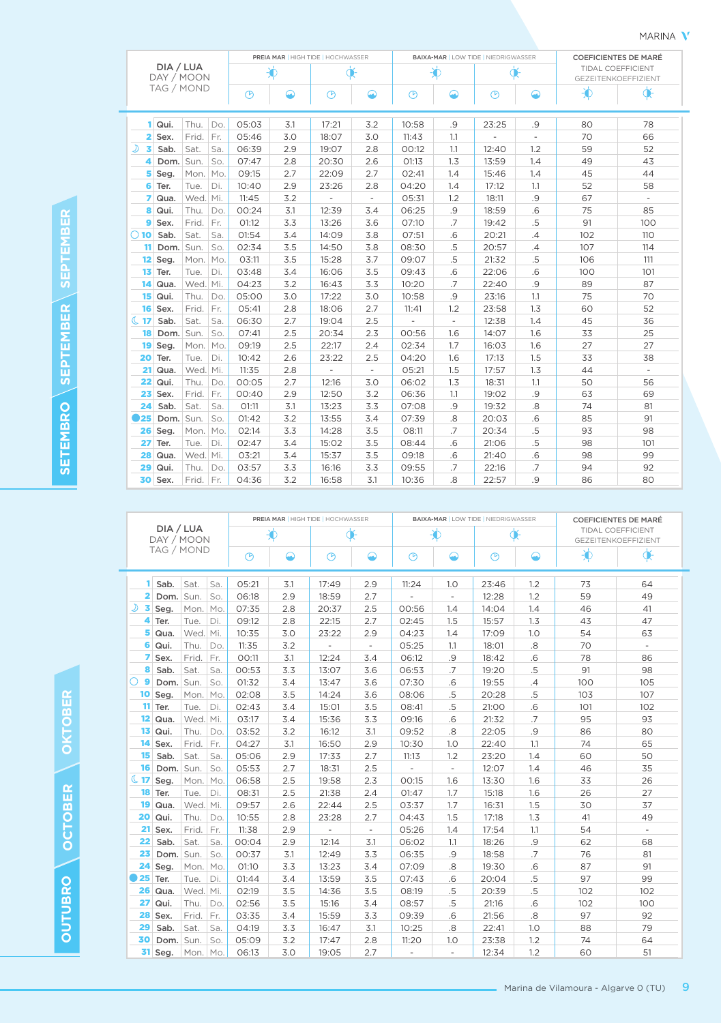|                   |                         |          |     |                |     | <b>PREIA MAR   HIGH TIDE   HOCHWASSER</b> |                          |                          |                          | <b>BAIXA-MAR   LOW TIDE   NIEDRIGWASSER</b> |                          | <b>COEFICIENTES DE MARÉ</b>                            |                          |  |
|-------------------|-------------------------|----------|-----|----------------|-----|-------------------------------------------|--------------------------|--------------------------|--------------------------|---------------------------------------------|--------------------------|--------------------------------------------------------|--------------------------|--|
|                   | DIA / LUA<br>DAY / MOON |          |     | -XÒ            |     | Œ                                         |                          | -XD                      |                          | Œ                                           |                          | <b>TIDAL COEFFICIENT</b><br><b>GEZEITENKOEFFIZIENT</b> |                          |  |
|                   | TAG / MOND              |          |     | $\circledcirc$ | ω   | $\circled{r}$                             | ♤                        | $\odot$                  | ω                        | $\circledcirc$                              | ♤                        | ゆ                                                      | ♦                        |  |
|                   | 1 Qui.                  | Thu.     | Do. | 05:03          | 3.1 | 17:21                                     | 3.2                      | 10:58                    | .9                       | 23:25                                       | 9.                       | 80                                                     | 78                       |  |
|                   | 2 Sex.                  | Frid.    | Fr. | 05:46          | 3.0 | 18:07                                     | 3.0                      | 11:43                    | 1.1                      |                                             | $\overline{\phantom{a}}$ | 70                                                     | 66                       |  |
| ᠉<br>$\mathbf{z}$ | Sab.                    | Sat.     | Sa. | 06:39          | 2.9 | 19:07                                     | 2.8                      | 00:12                    | 1.1                      | 12:40                                       | 1.2                      | 59                                                     | 52                       |  |
| 4                 | Dom.                    | Sun.     | So. | 07:47          | 2.8 | 20:30                                     | 2.6                      | 01:13                    | 1.3                      | 13:59                                       | 1.4                      | 49                                                     | 43                       |  |
| 51                | Seg.                    | Mon. Mo. |     | 09:15          | 2.7 | 22:09                                     | 2.7                      | O2:41                    | 1.4                      | 15:46                                       | 1.4                      | 45                                                     | 44                       |  |
|                   | 6 Ter.                  | Tue.     | Di. | 10:40          | 2.9 | 23:26                                     | 2.8                      | 04:20                    | 1.4                      | 17:12                                       | 1.1                      | 52                                                     | 58                       |  |
|                   | $7$ Qua.                | Wed. Mi. |     | 11:45          | 3.2 | $\overline{\phantom{m}}$                  | ÷,                       | 05:31                    | 1.2                      | 18:11                                       | .9                       | 67                                                     | $\overline{\phantom{a}}$ |  |
|                   | 8 Qui.                  | Thu.     | Do. | 00:24          | 3.1 | 12:39                                     | 3.4                      | 06:25                    | .9                       | 18:59                                       | .6                       | 75                                                     | 85                       |  |
|                   | 9 Sex.                  | Frid.    | Fr. | 01:12          | 3.3 | 13:26                                     | 3.6                      | 07:10                    | .7                       | 19:42                                       | .5                       | 91                                                     | 100                      |  |
| $\bigcirc$ 10     | Sab.                    | Sat.     | Sa. | 01:54          | 3.4 | 14:09                                     | 3.8                      | 07:51                    | .6                       | 20:21                                       | .4                       | 102                                                    | 110                      |  |
| 11                | Dom. Sun.               |          | So. | 02:34          | 3.5 | 14:50                                     | 3.8                      | 08:30                    | .5                       | 20:57                                       | .4                       | 107                                                    | 114                      |  |
| 12 <sup>12</sup>  | Seg.                    | Mon.     | Mo. | 03:11          | 3.5 | 15:28                                     | 3.7                      | 09:07                    | .5                       | 21:32                                       | .5                       | 106                                                    | 111                      |  |
|                   | $13$ Ter.               | Tue.     | Di. | 03:48          | 3.4 | 16:06                                     | 3.5                      | 09:43                    | .6                       | 22:06                                       | .6                       | 100                                                    | 101                      |  |
| 14                | Qua.                    | Wed. Mi. |     | 04:23          | 3.2 | 16:43                                     | 3.3                      | 10:20                    | .7                       | 22:40                                       | .9                       | 89                                                     | 87                       |  |
| 15 <sup>15</sup>  | Qui.                    | Thu.     | Do. | 05:00          | 3.0 | 17:22                                     | 3.0                      | 10:58                    | .9                       | 23:16                                       | 1.1                      | 75                                                     | 70                       |  |
|                   | <b>16</b> Sex.          | Frid.    | Fr. | 05:41          | 2.8 | 18:06                                     | 2.7                      | 11:41                    | 1.2                      | 23:58                                       | 1.3                      | 60                                                     | 52                       |  |
| $\mathbb{C}$ 17   | Sab.                    | Sat.     | Sa. | 06:30          | 2.7 | 19:04                                     | 2.5                      | $\overline{\phantom{a}}$ | $\overline{\phantom{a}}$ | 12:38                                       | 1.4                      | 45                                                     | 36                       |  |
| 18                | Dom. Sun.               |          | So. | O7:41          | 2.5 | 20:34                                     | 2.3                      | 00:56                    | 1.6                      | 14:07                                       | 1.6                      | 33                                                     | 25                       |  |
| 19                | Seg.                    | Mon.     | Mo. | 09:19          | 2.5 | 22:17                                     | 2.4                      | 02:34                    | 1.7                      | 16:03                                       | 1.6                      | 27                                                     | 27                       |  |
|                   | <b>20</b> Ter.          | Tue.     | Di. | 10:42          | 2.6 | 23:22                                     | 2.5                      | 04:20                    | 1.6                      | 17:13                                       | 1.5                      | 33                                                     | 38                       |  |
| 21 <sub>1</sub>   | Qua.                    | Wed. Mi. |     | 11:35          | 2.8 | $\overline{\phantom{a}}$                  | $\overline{\phantom{a}}$ | 05:21                    | 1.5                      | 17:57                                       | 1.3                      | 44                                                     | $\overline{\phantom{a}}$ |  |
| 22                | Qui.                    | Thu.     | Do. | 00:05          | 2.7 | 12:16                                     | 3.0                      | 06:02                    | 1.3                      | 18:31                                       | 1.1                      | 50                                                     | 56                       |  |
|                   | <b>23</b> Sex.          | Frid.    | Fr. | 00:40          | 2.9 | 12:50                                     | 3.2                      | 06:36                    | 1.1                      | 19:02                                       | .9                       | 63                                                     | 69                       |  |
| 24                | Sab.                    | Sat.     | Sa. | O1:11          | 3.1 | 13:23                                     | 3.3                      | 07:08                    | .9                       | 19:32                                       | .8                       | 74                                                     | 81                       |  |
| <b>025</b>        | Dom. Sun.               |          | So. | O1:42          | 3.2 | 13:55                                     | 3.4                      | 07:39                    | 8.                       | 20:03                                       | .6                       | 85                                                     | 91                       |  |
| 26                | Seg.                    | Mon.     | Mo. | 02:14          | 3.3 | 14:28                                     | 3.5                      | 08:11                    | .7                       | 20:34                                       | .5                       | 93                                                     | 98                       |  |
| 27                | Ter.                    | Tue.     | Di. | 02:47          | 3.4 | 15:02                                     | 3.5                      | 08:44                    | .6                       | 21:06                                       | .5                       | 98                                                     | 101                      |  |
| 28                | Qua.                    | Wed. Mi. |     | 03:21          | 3.4 | 15:37                                     | 3.5                      | 09:18                    | .6                       | 21:40                                       | .6                       | 98                                                     | 99                       |  |
| 29                | Qui.                    | Thu.     | Do. | 03:57          | 3.3 | 16:16                                     | 3.3                      | 09:55                    | .7                       | 22:16                                       | .7                       | 94                                                     | 92                       |  |
|                   | <b>30</b> Sex.          | Frid.    | Fr. | 04:36          | 3.2 | 16:58                                     | 3.1                      | 10:36                    | 8.                       | 22:57                                       | .9                       | 86                                                     | 80                       |  |

|                         |                         |          |     | <b>PREIA MAR   HIGH TIDE   HOCHWASSER</b> |     |                |                          | <b>BAIXA-MAR   LOW TIDE   NIEDRIGWASSER</b> |                          |              |        | <b>COEFICIENTES DE MARÉ</b>                     |                          |  |
|-------------------------|-------------------------|----------|-----|-------------------------------------------|-----|----------------|--------------------------|---------------------------------------------|--------------------------|--------------|--------|-------------------------------------------------|--------------------------|--|
|                         | DIA / LUA<br>DAY / MOON |          |     |                                           | 淖   | ♦              |                          | ÷ф                                          |                          | Φ            |        | TIDAL COEFFICIENT<br><b>GEZEITENKOEFFIZIENT</b> |                          |  |
|                         | TAG / MOND              |          |     | $\circledcirc$                            | ♤   | ℗              | ♤                        | $\circledcirc$                              | ♤                        | $^\circledR$ | ♤      | 沖                                               |                          |  |
|                         | 1 Sab.                  | Sat.     | Sa. | 05:21                                     | 3.1 | 17:49          | 2.9                      | 11:24                                       | 1.0                      | 23:46        | 1.2    | 73                                              | 64                       |  |
| 2                       | Dom. Sun.               |          | So. | 06:18                                     | 2.9 | 18:59          | 2.7                      |                                             | $\overline{\phantom{a}}$ | 12:28        | 1.2    | 59                                              | 49                       |  |
| ♪                       | $3$ Seg.                | Mon.     | Mo. | 07:35                                     | 2.8 | 20:37          | 2.5                      | 00:56                                       | 1.4                      | 14:04        | 1.4    | 46                                              | 41                       |  |
| 4                       | Ter.                    | Tue.     | Di. | 09:12                                     | 2.8 | 22:15          | 2.7                      | 02:45                                       | 1.5                      | 15:57        | 1.3    | 43                                              | 47                       |  |
| 5                       | Qua.                    | Wed. Mi. |     | 10:35                                     | 3.0 | 23:22          | 2.9                      | 04:23                                       | 1.4                      | 17:09        | 1.0    | 54                                              | 63                       |  |
| 6                       | Qui.                    | Thu.     | Do. | 11:35                                     | 3.2 | L              | $\overline{a}$           | 05:25                                       | 1.1                      | 18:01        | .8     | 70                                              | $\overline{\phantom{a}}$ |  |
| $\overline{\mathbf{z}}$ | Sex.                    | Frid.    | Fr. | 00:11                                     | 3.1 | 12:24          | 3.4                      | 06:12                                       | .9                       | 18:42        | .6     | 78                                              | 86                       |  |
| 8                       | Sab.                    | Sat.     | Sa. | 00:53                                     | 3.3 | 13:07          | 3.6                      | 06:53                                       | .7                       | 19:20        | $.5\,$ | 91                                              | 98                       |  |
| 9<br>( )                | Dom.                    | Sun.     | So. | 01:32                                     | 3.4 | 13:47          | 3.6                      | 07:30                                       | .6                       | 19:55        | .4     | 100                                             | 105                      |  |
| 10 <sub>1</sub>         | Seg.                    | Mon. Mo. |     | 02:08                                     | 3.5 | 14:24          | 3.6                      | 08:06                                       | .5                       | 20:28        | .5     | 103                                             | 107                      |  |
|                         | <b>11</b> Ter.          | Tue.     | Di. | 02:43                                     | 3.4 | 15:01          | 3.5                      | 08:41                                       | .5                       | 21:00        | .6     | 101                                             | 102                      |  |
| $12 \overline{ }$       | Qua.                    | Wed. Mi. |     | 03:17                                     | 3.4 | 15:36          | 3.3                      | 09:16                                       | .6                       | 21:32        | .7     | 95                                              | 93                       |  |
| 13                      | Qui.                    | Thu.     | Do. | 03:52                                     | 3.2 | 16:12          | 3.1                      | 09:52                                       | .8                       | 22:05        | .9     | 86                                              | 80                       |  |
| 14                      | Sex.                    | Frid.    | Fr. | 04:27                                     | 3.1 | 16:50          | 2.9                      | 10:30                                       | 1.0                      | 22:40        | 1.1    | 74                                              | 65                       |  |
| 15                      | Sab.                    | Sat.     | Sa. | 05:06                                     | 2.9 | 17:33          | 2.7                      | 11:13                                       | 1.2                      | 23:20        | 1.4    | 60                                              | 50                       |  |
| 16                      | Dom.                    | Sun.     | So. | 05:53                                     | 2.7 | 18:31          | 2.5                      |                                             | ÷,                       | 12:07        | 1.4    | 46                                              | 35                       |  |
| $\mathbb{C}$ 17         | Seg.                    | Mon.     | Mo. | 06:58                                     | 2.5 | 19:58          | 2.3                      | 00:15                                       | 1.6                      | 13:30        | 1.6    | 33                                              | 26                       |  |
|                         | <b>18</b> Ter.          | Tue.     | Di. | 08:31                                     | 2.5 | 21:38          | 2.4                      | O1:47                                       | 1.7                      | 15:18        | 1.6    | 26                                              | 27                       |  |
| 19                      | Qua.                    | Wed. Mi. |     | 09:57                                     | 2.6 | 22:44          | 2.5                      | 03:37                                       | 1.7                      | 16:31        | 1.5    | 30                                              | 37                       |  |
| 20                      | Qui.                    | Thu.     | Do. | 10:55                                     | 2.8 | 23:28          | 2.7                      | 04:43                                       | 1.5                      | 17:18        | 1.3    | 41                                              | 49                       |  |
|                         | <b>21</b> Sex.          | Frid.    | Fr. | 11:38                                     | 2.9 | $\overline{a}$ | $\overline{\phantom{a}}$ | 05:26                                       | 1.4                      | 17:54        | 1.1    | 54                                              | $\overline{\phantom{a}}$ |  |
| $22 \overline{ }$       | Sab.                    | Sat.     | Sa. | 00:04                                     | 2.9 | 12:14          | 3.1                      | 06:02                                       | 1.1                      | 18:26        | .9     | 62                                              | 68                       |  |
| 23                      | Dom.                    | Sun.     | So. | 00:37                                     | 3.1 | 12:49          | 3.3                      | 06:35                                       | .9                       | 18:58        | .7     | 76                                              | 81                       |  |
| 24                      | Seg.                    | Mon.     | Mo. | O1:1O                                     | 3.3 | 13:23          | 3.4                      | 07:09                                       | .8                       | 19:30        | .6     | 87                                              | 91                       |  |
| <b>25</b> Ter.          |                         | Tue.     | Di. | 01:44                                     | 3.4 | 13:59          | 3.5                      | 07:43                                       | .6                       | 20:04        | .5     | 97                                              | 99                       |  |
| 26                      | Qua.                    | Wed. Mi. |     | 02:19                                     | 3.5 | 14:36          | 3.5                      | 08:19                                       | .5                       | 20:39        | .5     | 102                                             | 102                      |  |
| 27                      | Qui.                    | Thu.     | Do. | 02:56                                     | 3.5 | 15:16          | 3.4                      | 08:57                                       | .5                       | 21:16        | .6     | 102                                             | 100                      |  |
| 28                      | Sex.                    | Frid.    | Fr. | 03:35                                     | 3.4 | 15:59          | 3.3                      | 09:39                                       | .6                       | 21:56        | .8     | 97                                              | 92                       |  |
| 29                      | Sab.                    | Sat.     | Sa. | 04:19                                     | 3.3 | 16:47          | 3.1                      | 10:25                                       | 8.                       | 22:41        | 1.0    | 88                                              | 79                       |  |
| 30                      | Dom.                    | Sun.     | So. | 05:09                                     | 3.2 | 17:47          | 2.8                      | 11:20                                       | 1.0                      | 23:38        | 1.2    | 74                                              | 64                       |  |
|                         | <b>31</b> Seg.          | Mon.     | Mo. | 06:13                                     | 3.0 | 19:05          | 2.7                      |                                             | $\frac{1}{2}$            | 12:34        | 1.2    | 60                                              | 51                       |  |

SETEMBRO SEPTEMBER SEPTEMBER **SETEMBRO SEPTEMBER SEPTEMBER**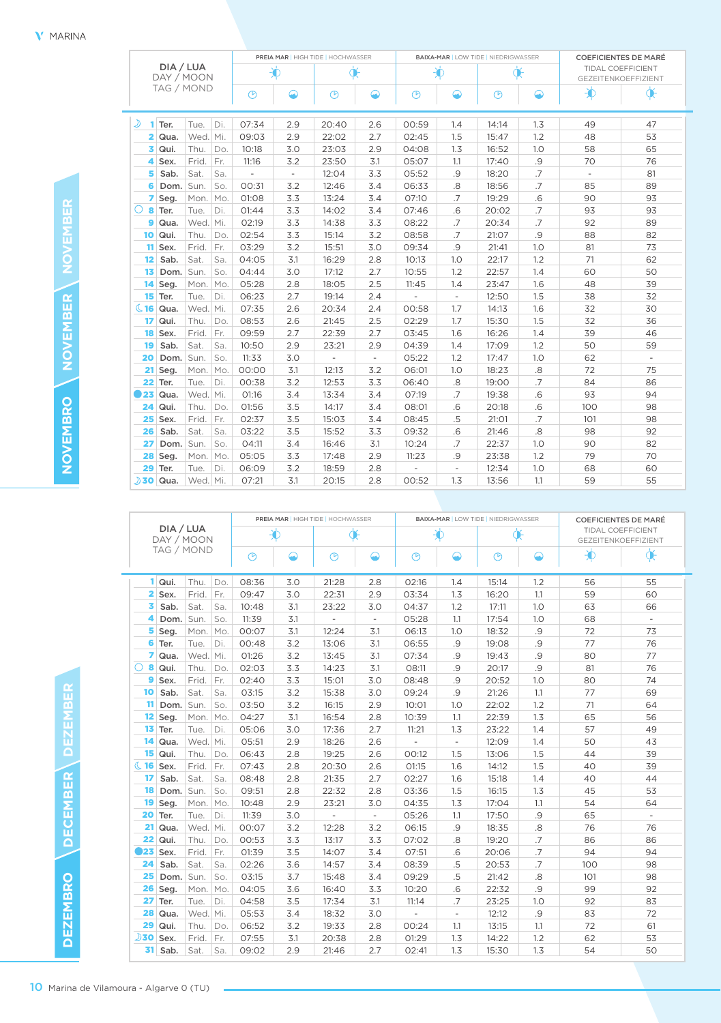| DIA / LUA       |             |          |     |                          |                          | <b>PREIA MAR   HIGH TIDE   HOCHWASSER</b> |                          |       |                          | <b>BAIXA-MAR   LOW TIDE   NIEDRIGWASSER</b> | <b>COEFICIENTES DE MARÉ</b> |                                                        |                          |
|-----------------|-------------|----------|-----|--------------------------|--------------------------|-------------------------------------------|--------------------------|-------|--------------------------|---------------------------------------------|-----------------------------|--------------------------------------------------------|--------------------------|
|                 | DAY / MOON  |          |     |                          | ④                        | Œ                                         |                          |       | ÷Ò                       | Œ                                           |                             | <b>TIDAL COEFFICIENT</b><br><b>GEZEITENKOEFFIZIENT</b> |                          |
|                 | TAG / MOND  |          |     | ℗                        | ω                        | ℗                                         | ♤                        | ৣ     | د                        | $\odot$                                     | ♤                           | Þ                                                      | ♦                        |
| ᠉               | 1 Ter.      | Tue.     | Di. | 07:34                    | 2.9                      | 20:40                                     | 2.6                      | 00:59 | 1.4                      | 14:14                                       | 1.3                         | 49                                                     | 47                       |
|                 | $2$ Qua.    | Wed. Mi. |     | 09:03                    | 2.9                      | 22:02                                     | 2.7                      | 02:45 | 1.5                      | 15:47                                       | 1.2                         | 48                                                     | 53                       |
|                 | 3 Qui.      | Thu.     | Do. | 10:18                    | 3.0                      | 23:03                                     | 2.9                      | 04:08 | 1.3                      | 16:52                                       | 1.0                         | 58                                                     | 65                       |
| 4               | Sex.        | Frid.    | Fr. | 11:16                    | 3.2                      | 23:50                                     | 3.1                      | 05:07 | 1.1                      | 17:40                                       | .9                          | 70                                                     | 76                       |
| 5               | Sab.        | Sat.     | Sa. | $\overline{\phantom{m}}$ | $\overline{\phantom{a}}$ | 12:04                                     | 3.3                      | 05:52 | .9                       | 18:20                                       | .7                          | $\overline{\phantom{a}}$                               | 81                       |
| 6               | Dom. Sun.   |          | So. | 00:31                    | 3.2                      | 12:46                                     | 3.4                      | 06:33 | .8                       | 18:56                                       | .7                          | 85                                                     | 89                       |
| $\overline{ }$  | Seg.        | Mon. Mo. |     | 01:08                    | 3.3                      | 13:24                                     | 3.4                      | 07:10 | .7                       | 19:29                                       | .6                          | 90                                                     | 93                       |
| O               | 8 Ter.      | Tue.     | Di. | 01:44                    | 3.3                      | 14:02                                     | 3.4                      | 07:46 | .6                       | 20:02                                       | .7                          | 93                                                     | 93                       |
| 9               | Qua.        | Wed. Mi. |     | 02:19                    | 3.3                      | 14:38                                     | 3.3                      | 08:22 | .7                       | 20:34                                       | .7                          | 92                                                     | 89                       |
| 10              | Qui.        | Thu.     | Do. | 02:54                    | 3.3                      | 15:14                                     | 3.2                      | 08:58 | .7                       | 21:07                                       | .9                          | 88                                                     | 82                       |
| 11              | Sex.        | Frid.    | Fr. | 03:29                    | 3.2                      | 15:51                                     | 3.0                      | 09:34 | .9                       | 21:41                                       | 1.0                         | 81                                                     | 73                       |
| 12              | Sab.        | Sat.     | Sa. | 04:05                    | 3.1                      | 16:29                                     | 2.8                      | 10:13 | 1.0                      | 22:17                                       | 1.2                         | 71                                                     | 62                       |
| 13              | Dom. Sun.   |          | So. | 04:44                    | 3.0                      | 17:12                                     | 2.7                      | 10:55 | 1.2                      | 22:57                                       | 1.4                         | 60                                                     | 50                       |
| 14              | Seg.        | Mon.     | Mo. | 05:28                    | 2.8                      | 18:05                                     | 2.5                      | 11:45 | 1.4                      | 23:47                                       | 1.6                         | 48                                                     | 39                       |
| 15 <sup>1</sup> | Ter.        | Tue.     | Di. | 06:23                    | 2.7                      | 19:14                                     | 2.4                      |       | $\overline{\phantom{a}}$ | 12:50                                       | 1.5                         | 38                                                     | 32                       |
| $\bigcirc$ 16   | Qua.        | Wed. Mi. |     | 07:35                    | 2.6                      | 20:34                                     | 2.4                      | 00:58 | 1.7                      | 14:13                                       | 1.6                         | 32                                                     | 30                       |
| 17              | Qui.        | Thu.     | Do. | 08:53                    | 2.6                      | 21:45                                     | 2.5                      | O2:29 | 1.7                      | 15:30                                       | 1.5                         | 32                                                     | 36                       |
| 18              | Sex.        | Frid.    | Fr. | 09:59                    | 2.7                      | 22:39                                     | 2.7                      | 03:45 | 1.6                      | 16:26                                       | 1.4                         | 39                                                     | 46                       |
| 19              | Sab.        | Sat.     | Sa. | 10:50                    | 2.9                      | 23:21                                     | 2.9                      | 04:39 | 1.4                      | 17:09                                       | 1.2                         | 50                                                     | 59                       |
| 20              | Dom.        | Sun.     | So. | 11:33                    | 3.0                      | ä,                                        | $\overline{\phantom{a}}$ | 05:22 | 1.2                      | 17:47                                       | 1.0                         | 62                                                     | $\overline{\phantom{a}}$ |
| 21              | Seg.        | Mon. Mo. |     | 00:00                    | 3.1                      | 12:13                                     | 3.2                      | 06:01 | 1.0                      | 18:23                                       | .8                          | 72                                                     | 75                       |
| 22              | Ter.        | Tue.     | Di. | 00:38                    | 3.2                      | 12:53                                     | 3.3                      | 06:40 | 8.                       | 19:00                                       | .7                          | 84                                                     | 86                       |
| <b>D</b> 23     | Qua.        | Wed. Mi. |     | O1:16                    | 3.4                      | 13:34                                     | 3.4                      | 07:19 | .7                       | 19:38                                       | .6                          | 93                                                     | 94                       |
| 24              | Qui.        | Thu.     | Do. | 01:56                    | 3.5                      | 14:17                                     | 3.4                      | 08:01 | .6                       | 20:18                                       | .6                          | 100                                                    | 98                       |
| 25              | Sex.        | Frid.    | Fr. | 02:37                    | 3.5                      | 15:03                                     | 3.4                      | 08:45 | .5                       | 21:01                                       | .7                          | 101                                                    | 98                       |
| 26              | Sab.        | Sat.     | Sa. | 03:22                    | 3.5                      | 15:52                                     | 3.3                      | 09:32 | .6                       | 21:46                                       | 8.                          | 98                                                     | 92                       |
| 27              | Dom. Sun.   |          | So. | 04:11                    | 3.4                      | 16:46                                     | 3.1                      | 10:24 | .7                       | 22:37                                       | 1.0                         | 90                                                     | 82                       |
| 28              | Seg.        | Mon.     | Mo. | 05:05                    | 3.3                      | 17:48                                     | 2.9                      | 11:23 | .9                       | 23:38                                       | 1.2                         | 79                                                     | 70                       |
| 29              | Ter.        | Tue.     | Di. | 06:09                    | 3.2                      | 18:59                                     | 2.8                      |       | $\overline{\phantom{a}}$ | 12:34                                       | 1.0                         | 68                                                     | 60                       |
|                 | ♪ 30   Qua. | Wed. Mi. |     | 07:21                    | 3.1                      | 20:15                                     | 2.8                      | 00:52 | 1.3                      | 13:56                                       | 1.1                         | 59                                                     | 55                       |

| DIA / LUA<br>DAY / MOON<br>TAG / MOND |           |          |     | <b>PREIA MAR   HIGH TIDE   HOCHWASSER</b> |     |               |                          |                          |                          | <b>BAIXA-MAR   LOW TIDE   NIEDRIGWASSER</b> | <b>COEFICIENTES DE MARÉ</b> |                                                        |                          |
|---------------------------------------|-----------|----------|-----|-------------------------------------------|-----|---------------|--------------------------|--------------------------|--------------------------|---------------------------------------------|-----------------------------|--------------------------------------------------------|--------------------------|
|                                       |           |          |     |                                           | Þ   | Œ             |                          | ւ                        |                          |                                             |                             | <b>TIDAL COEFFICIENT</b><br><b>GEZEITENKOEFFIZIENT</b> |                          |
|                                       |           |          |     | ℗                                         | ♤   | $\odot$       | ♤                        | $\odot$                  | ♤                        | ℗                                           | ω                           | ÷Φ                                                     | ⋫                        |
|                                       | 1 Qui.    | Thu.     | Do. | 08:36                                     | 3.0 | 21:28         | 2.8                      | 02:16                    | 1.4                      | 15:14                                       | 1.2                         | 56                                                     | 55                       |
|                                       | 2 Sex.    | Frid.    | Fr. | 09:47                                     | 3.0 | 22:31         | 2.9                      | 03:34                    | 1.3                      | 16:20                                       | 1.1                         | 59                                                     | 60                       |
| 3                                     | Sab.      | Sat.     | Sa. | 10:48                                     | 3.1 | 23:22         | 3.0                      | 04:37                    | 1.2                      | 17:11                                       | 1.0                         | 63                                                     | 66                       |
| 4                                     | Dom.      | Sun.     | So. | 11:39                                     | 3.1 | ä,            | $\overline{\phantom{a}}$ | 05:28                    | 1.1                      | 17:54                                       | 1.0                         | 68                                                     | $\overline{\phantom{a}}$ |
| 5                                     | Seg.      | Mon.     | Mo. | 00:07                                     | 3.1 | 12:24         | 3.1                      | 06:13                    | 1.0                      | 18:32                                       | .9                          | 72                                                     | 73                       |
| 6                                     | Ter.      | Tue.     | Di. | 00:48                                     | 3.2 | 13:06         | 3.1                      | 06:55                    | .9                       | 19:08                                       | .9                          | 77                                                     | 76                       |
| 7                                     | Qua.      | Wed. Mi. |     | 01:26                                     | 3.2 | 13:45         | 3.1                      | 07:34                    | .9                       | 19:43                                       | .9                          | 80                                                     | 77                       |
| 8<br>O                                | Qui.      | Thu.     | Do. | 02:03                                     | 3.3 | 14:23         | 3.1                      | 08:11                    | .9                       | 20:17                                       | .9                          | 81                                                     | 76                       |
| 9                                     | Sex.      | Frid.    | Fr. | 02:40                                     | 3.3 | 15:01         | 3.0                      | 08:48                    | .9                       | 20:52                                       | 1.0                         | 80                                                     | 74                       |
| 10                                    | Sab.      | Sat.     | Sa. | 03:15                                     | 3.2 | 15:38         | 3.0                      | 09:24                    | .9                       | 21:26                                       | 1.1                         | 77                                                     | 69                       |
| 11.                                   | Dom. Sun. |          | So. | 03:50                                     | 3.2 | 16:15         | 2.9                      | 10:01                    | 1.0                      | 22:02                                       | 1.2                         | 71                                                     | 64                       |
| $12 \overline{ }$                     | Seg.      | Mon.     | Mo. | 04:27                                     | 3.1 | 16:54         | 2.8                      | 10:39                    | 1.1                      | 22:39                                       | 1.3                         | 65                                                     | 56                       |
|                                       | $13$ Ter. | Tue.     | Di. | 05:06                                     | 3.0 | 17:36         | 2.7                      | 11:21                    | 1.3                      | 23:22                                       | 1.4                         | 57                                                     | 49                       |
| 14                                    | Qua.      | Wed.     | Mi. | 05:51                                     | 2.9 | 18:26         | 2.6                      | $\overline{\phantom{a}}$ | $\overline{\phantom{a}}$ | 12:09                                       | 1.4                         | 50                                                     | 43                       |
| 15                                    | Qui.      | Thu.     | Do. | 06:43                                     | 2.8 | 19:25         | 2.6                      | 00:12                    | 1.5                      | 13:06                                       | 1.5                         | 44                                                     | 39                       |
| $\subset$ 16                          | Sex.      | Frid.    | Fr. | 07:43                                     | 2.8 | 20:30         | 2.6                      | O1:15                    | 1.6                      | 14:12                                       | 1.5                         | 40                                                     | 39                       |
| 17                                    | Sab.      | Sat.     | Sa. | 08:48                                     | 2.8 | 21:35         | 2.7                      | 02:27                    | 1.6                      | 15:18                                       | 1.4                         | 40                                                     | 44                       |
| 18                                    | Dom. Sun. |          | So. | 09:51                                     | 2.8 | 22:32         | 2.8                      | 03:36                    | 1.5                      | 16:15                                       | 1.3                         | 45                                                     | 53                       |
| 19                                    | Seg.      | Mon.     | Mo. | 10:48                                     | 2.9 | 23:21         | 3.0                      | 04:35                    | 1.3                      | 17:04                                       | 1.1                         | 54                                                     | 64                       |
| 20                                    | Ter.      | Tue.     | Di. | 11:39                                     | 3.0 | $\frac{1}{2}$ | $\overline{\phantom{a}}$ | 05:26                    | 1.1                      | 17:50                                       | .9                          | 65                                                     | L.                       |
| 21                                    | Qua.      | Wed. Mi. |     | 00:07                                     | 3.2 | 12:28         | 3.2                      | 06:15                    | .9                       | 18:35                                       | .8                          | 76                                                     | 76                       |
| 22                                    | Qui.      | Thu.     | Do. | 00:53                                     | 3.3 | 13:17         | 3.3                      | 07:02                    | .8                       | 19:20                                       | .7                          | 86                                                     | 86                       |
| D23                                   | Sex.      | Frid.    | Fr. | 01:39                                     | 3.5 | 14:07         | 3.4                      | O7:51                    | .6                       | 20:06                                       | .7                          | 94                                                     | 94                       |
| 24                                    | Sab.      | Sat.     | Sa. | 02:26                                     | 3.6 | 14:57         | 3.4                      | 08:39                    | $.5\,$                   | 20:53                                       | .7                          | 100                                                    | 98                       |
| 25                                    | Dom. Sun. |          | So. | 03:15                                     | 3.7 | 15:48         | 3.4                      | 09:29                    | .5                       | 21:42                                       | 8.                          | 101                                                    | 98                       |
| 26                                    | Seg.      | Mon.     | Mo. | 04:05                                     | 3.6 | 16:40         | 3.3                      | 10:20                    | .6                       | 22:32                                       | .9                          | 99                                                     | 92                       |
| 27                                    | Ter.      | Tue.     | Di. | 04:58                                     | 3.5 | 17:34         | 3.1                      | 11:14                    | .7                       | 23:25                                       | 1.0                         | 92                                                     | 83                       |
| 28                                    | Qua.      | Wed. Mi. |     | 05:53                                     | 3.4 | 18:32         | 3.0                      | $\overline{\phantom{a}}$ | $\overline{a}$           | 12:12                                       | .9                          | 83                                                     | 72                       |
| 29                                    | Qui.      | Thu.     | Do. | 06:52                                     | 3.2 | 19:33         | 2.8                      | 00:24                    | 1.1                      | 13:15                                       | 1.1                         | 72                                                     | 61                       |
| D30.                                  | Sex.      | Frid.    | Fr. | 07:55                                     | 3.1 | 20:38         | 2.8                      | 01:29                    | 1.3                      | 14:22                                       | 1.2                         | 62                                                     | 53                       |
| 31                                    | Sab.      | Sat.     | Sa. | 09:02                                     | 2.9 | 21:46         | 2.7                      | 02:41                    | 1.3                      | 15:30                                       | 1.3                         | 54                                                     | 50                       |

NOVEMBRO NOVEMBER NOVEMBER **NOVEMBRO NOVEMBER NOVEMBER**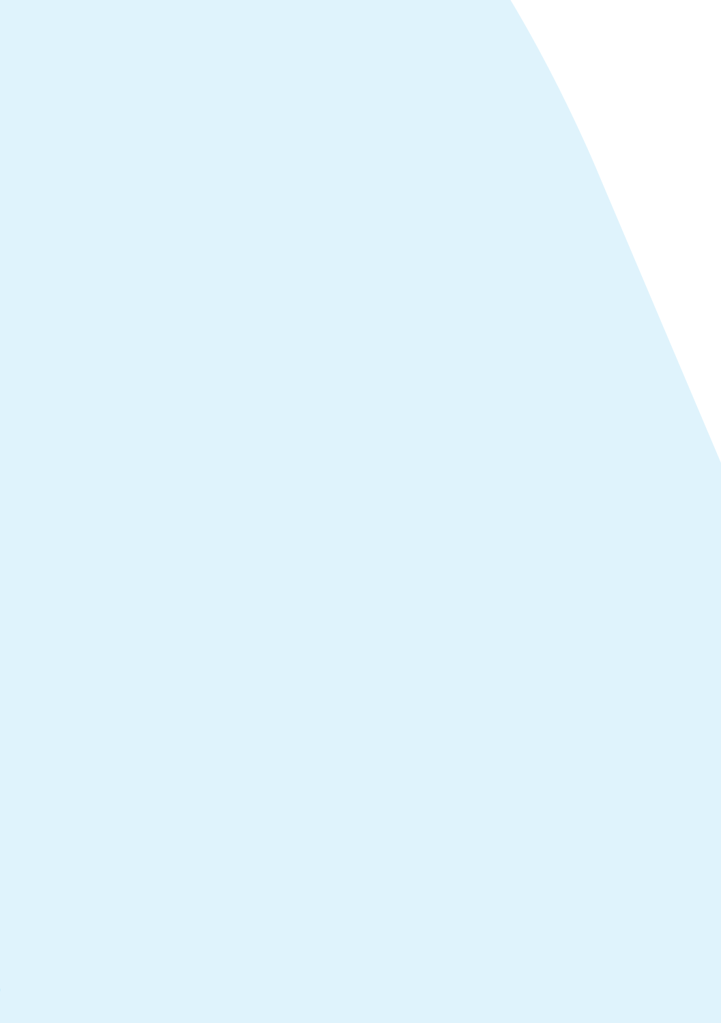